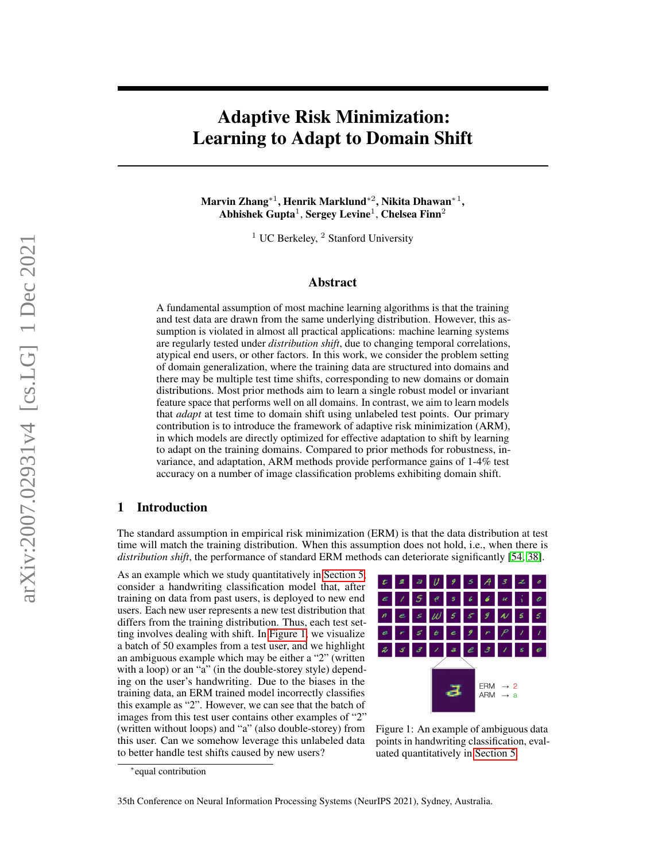# Adaptive Risk Minimization: Learning to Adapt to Domain Shift

Marvin Zhang\* $^1$ , Henrik Marklund\* $^2$ , Nikita Dhawan\* $^1,$ Abhishek Gupta $^1$ , Sergey Levine $^1$ , Chelsea Finn $^2$ 

 $1$  UC Berkeley,  $2$  Stanford University

# Abstract

A fundamental assumption of most machine learning algorithms is that the training and test data are drawn from the same underlying distribution. However, this assumption is violated in almost all practical applications: machine learning systems are regularly tested under *distribution shift*, due to changing temporal correlations, atypical end users, or other factors. In this work, we consider the problem setting of domain generalization, where the training data are structured into domains and there may be multiple test time shifts, corresponding to new domains or domain distributions. Most prior methods aim to learn a single robust model or invariant feature space that performs well on all domains. In contrast, we aim to learn models that *adapt* at test time to domain shift using unlabeled test points. Our primary contribution is to introduce the framework of adaptive risk minimization (ARM), in which models are directly optimized for effective adaptation to shift by learning to adapt on the training domains. Compared to prior methods for robustness, invariance, and adaptation, ARM methods provide performance gains of 1-4% test accuracy on a number of image classification problems exhibiting domain shift.

# <span id="page-0-1"></span>1 Introduction

The standard assumption in empirical risk minimization (ERM) is that the data distribution at test time will match the training distribution. When this assumption does not hold, i.e., when there is *distribution shift*, the performance of standard ERM methods can deteriorate significantly [\[54,](#page-12-0) [38\]](#page-12-1).

As an example which we study quantitatively in [Section 5,](#page-6-0) consider a handwriting classification model that, after training on data from past users, is deployed to new end users. Each new user represents a new test distribution that differs from the training distribution. Thus, each test setting involves dealing with shift. In [Figure 1,](#page-0-0) we visualize a batch of 50 examples from a test user, and we highlight an ambiguous example which may be either a "2" (written with a loop) or an "a" (in the double-storey style) depending on the user's handwriting. Due to the biases in the training data, an ERM trained model incorrectly classifies this example as "2". However, we can see that the batch of images from this test user contains other examples of "2" (written without loops) and "a" (also double-storey) from this user. Can we somehow leverage this unlabeled data to better handle test shifts caused by new users?



<span id="page-0-0"></span>Figure 1: An example of ambiguous data points in handwriting classification, evaluated quantitatively in [Section 5.](#page-6-0)

<sup>∗</sup> equal contribution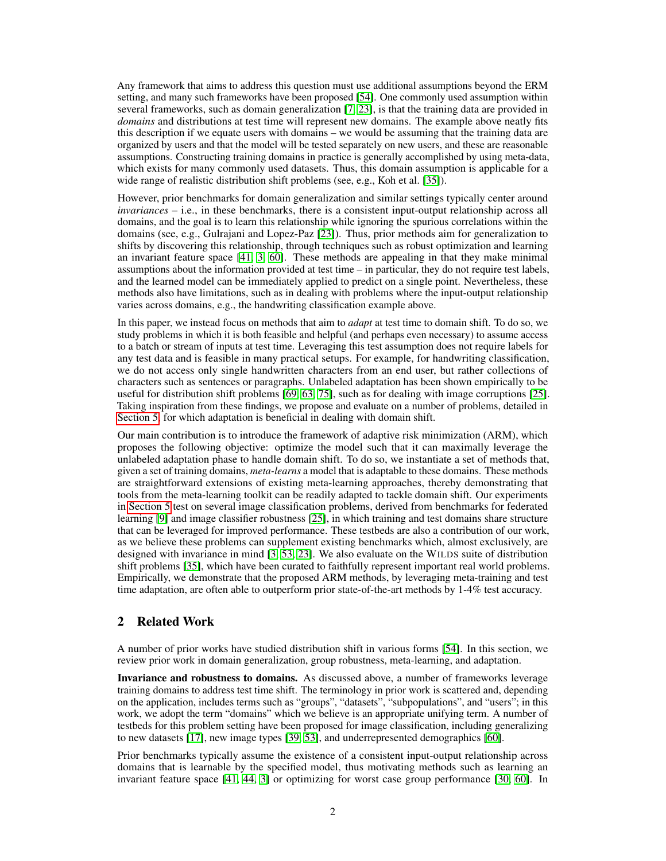Any framework that aims to address this question must use additional assumptions beyond the ERM setting, and many such frameworks have been proposed [\[54\]](#page-12-0). One commonly used assumption within several frameworks, such as domain generalization [\[7,](#page-10-0) [23\]](#page-11-0), is that the training data are provided in *domains* and distributions at test time will represent new domains. The example above neatly fits this description if we equate users with domains – we would be assuming that the training data are organized by users and that the model will be tested separately on new users, and these are reasonable assumptions. Constructing training domains in practice is generally accomplished by using meta-data, which exists for many commonly used datasets. Thus, this domain assumption is applicable for a wide range of realistic distribution shift problems (see, e.g., Koh et al. [\[35\]](#page-11-1)).

However, prior benchmarks for domain generalization and similar settings typically center around *invariances* – i.e., in these benchmarks, there is a consistent input-output relationship across all domains, and the goal is to learn this relationship while ignoring the spurious correlations within the domains (see, e.g., Gulrajani and Lopez-Paz [\[23\]](#page-11-0)). Thus, prior methods aim for generalization to shifts by discovering this relationship, through techniques such as robust optimization and learning an invariant feature space [\[41,](#page-12-2) [3,](#page-10-1) [60\]](#page-13-0). These methods are appealing in that they make minimal assumptions about the information provided at test time  $-$  in particular, they do not require test labels, and the learned model can be immediately applied to predict on a single point. Nevertheless, these methods also have limitations, such as in dealing with problems where the input-output relationship varies across domains, e.g., the handwriting classification example above.

In this paper, we instead focus on methods that aim to *adapt* at test time to domain shift. To do so, we study problems in which it is both feasible and helpful (and perhaps even necessary) to assume access to a batch or stream of inputs at test time. Leveraging this test assumption does not require labels for any test data and is feasible in many practical setups. For example, for handwriting classification, we do not access only single handwritten characters from an end user, but rather collections of characters such as sentences or paragraphs. Unlabeled adaptation has been shown empirically to be useful for distribution shift problems [\[69,](#page-13-1) [63,](#page-13-2) [75\]](#page-14-0), such as for dealing with image corruptions [\[25\]](#page-11-2). Taking inspiration from these findings, we propose and evaluate on a number of problems, detailed in [Section 5,](#page-6-0) for which adaptation is beneficial in dealing with domain shift.

Our main contribution is to introduce the framework of adaptive risk minimization (ARM), which proposes the following objective: optimize the model such that it can maximally leverage the unlabeled adaptation phase to handle domain shift. To do so, we instantiate a set of methods that, given a set of training domains, *meta-learns* a model that is adaptable to these domains. These methods are straightforward extensions of existing meta-learning approaches, thereby demonstrating that tools from the meta-learning toolkit can be readily adapted to tackle domain shift. Our experiments in [Section 5](#page-6-0) test on several image classification problems, derived from benchmarks for federated learning [\[9\]](#page-10-2) and image classifier robustness [\[25\]](#page-11-2), in which training and test domains share structure that can be leveraged for improved performance. These testbeds are also a contribution of our work, as we believe these problems can supplement existing benchmarks which, almost exclusively, are designed with invariance in mind [\[3,](#page-10-1) [53,](#page-12-3) [23\]](#page-11-0). We also evaluate on the WILDS suite of distribution shift problems [\[35\]](#page-11-1), which have been curated to faithfully represent important real world problems. Empirically, we demonstrate that the proposed ARM methods, by leveraging meta-training and test time adaptation, are often able to outperform prior state-of-the-art methods by 1-4% test accuracy.

# <span id="page-1-0"></span>2 Related Work

A number of prior works have studied distribution shift in various forms [\[54\]](#page-12-0). In this section, we review prior work in domain generalization, group robustness, meta-learning, and adaptation.

Invariance and robustness to domains. As discussed above, a number of frameworks leverage training domains to address test time shift. The terminology in prior work is scattered and, depending on the application, includes terms such as "groups", "datasets", "subpopulations", and "users"; in this work, we adopt the term "domains" which we believe is an appropriate unifying term. A number of testbeds for this problem setting have been proposed for image classification, including generalizing to new datasets [\[17\]](#page-11-3), new image types [\[39,](#page-12-4) [53\]](#page-12-3), and underrepresented demographics [\[60\]](#page-13-0).

Prior benchmarks typically assume the existence of a consistent input-output relationship across domains that is learnable by the specified model, thus motivating methods such as learning an invariant feature space [\[41,](#page-12-2) [44,](#page-12-5) [3\]](#page-10-1) or optimizing for worst case group performance [\[30,](#page-11-4) [60\]](#page-13-0). In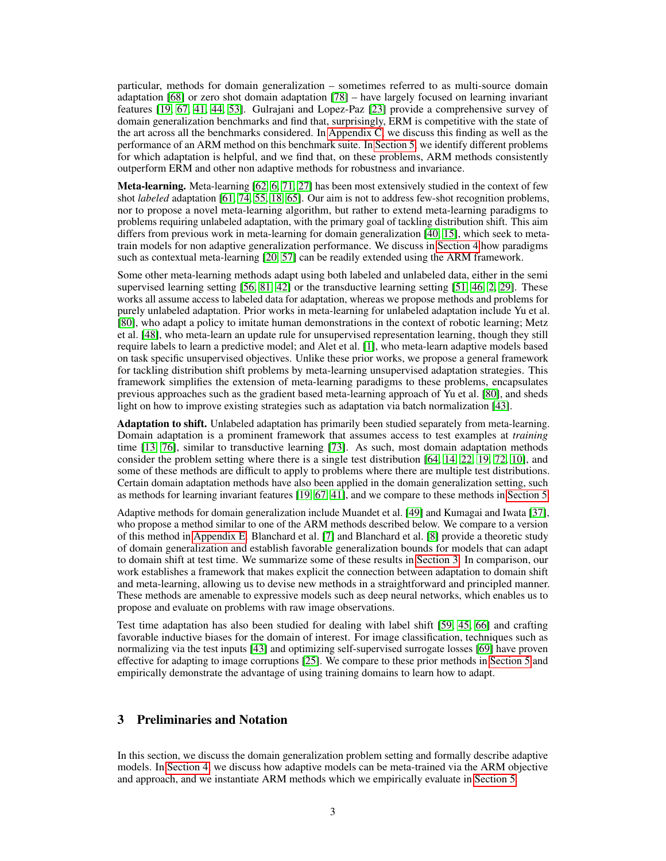particular, methods for domain generalization – sometimes referred to as multi-source domain adaptation [\[68\]](#page-13-3) or zero shot domain adaptation [\[78\]](#page-14-1) – have largely focused on learning invariant features [\[19,](#page-11-5) [67,](#page-13-4) [41,](#page-12-2) [44,](#page-12-5) [53\]](#page-12-3). Gulrajani and Lopez-Paz [\[23\]](#page-11-0) provide a comprehensive survey of domain generalization benchmarks and find that, surprisingly, ERM is competitive with the state of the art across all the benchmarks considered. In [Appendix C,](#page-16-0) we discuss this finding as well as the performance of an ARM method on this benchmark suite. In [Section 5,](#page-6-0) we identify different problems for which adaptation is helpful, and we find that, on these problems, ARM methods consistently outperform ERM and other non adaptive methods for robustness and invariance.

**Meta-learning.** Meta-learning [\[62,](#page-13-5) [6,](#page-10-3) [71,](#page-13-6) [27\]](#page-11-6) has been most extensively studied in the context of few shot *labeled* adaptation [\[61,](#page-13-7) [74,](#page-13-8) [55,](#page-13-9) [18,](#page-11-7) [65\]](#page-13-10). Our aim is not to address few-shot recognition problems, nor to propose a novel meta-learning algorithm, but rather to extend meta-learning paradigms to problems requiring unlabeled adaptation, with the primary goal of tackling distribution shift. This aim differs from previous work in meta-learning for domain generalization [\[40,](#page-12-6) [15\]](#page-10-4), which seek to metatrain models for non adaptive generalization performance. We discuss in [Section 4](#page-4-0) how paradigms such as contextual meta-learning [\[20,](#page-11-8) [57\]](#page-13-11) can be readily extended using the ARM framework.

Some other meta-learning methods adapt using both labeled and unlabeled data, either in the semi supervised learning setting [\[56,](#page-13-12) [81,](#page-14-2) [42\]](#page-12-7) or the transductive learning setting [\[51,](#page-12-8) [46,](#page-12-9) [2,](#page-10-5) [29\]](#page-11-9). These works all assume access to labeled data for adaptation, whereas we propose methods and problems for purely unlabeled adaptation. Prior works in meta-learning for unlabeled adaptation include Yu et al. [\[80\]](#page-14-3), who adapt a policy to imitate human demonstrations in the context of robotic learning; Metz et al. [\[48\]](#page-12-10), who meta-learn an update rule for unsupervised representation learning, though they still require labels to learn a predictive model; and Alet et al. [\[1\]](#page-10-6), who meta-learn adaptive models based on task specific unsupervised objectives. Unlike these prior works, we propose a general framework for tackling distribution shift problems by meta-learning unsupervised adaptation strategies. This framework simplifies the extension of meta-learning paradigms to these problems, encapsulates previous approaches such as the gradient based meta-learning approach of Yu et al. [\[80\]](#page-14-3), and sheds light on how to improve existing strategies such as adaptation via batch normalization [\[43\]](#page-12-11).

Adaptation to shift. Unlabeled adaptation has primarily been studied separately from meta-learning. Domain adaptation is a prominent framework that assumes access to test examples at *training* time [\[13,](#page-10-7) [76\]](#page-14-4), similar to transductive learning [\[73\]](#page-13-13). As such, most domain adaptation methods consider the problem setting where there is a single test distribution [\[64,](#page-13-14) [14,](#page-10-8) [22,](#page-11-10) [19,](#page-11-5) [72,](#page-13-15) [10\]](#page-10-9), and some of these methods are difficult to apply to problems where there are multiple test distributions. Certain domain adaptation methods have also been applied in the domain generalization setting, such as methods for learning invariant features [\[19,](#page-11-5) [67,](#page-13-4) [41\]](#page-12-2), and we compare to these methods in [Section 5.](#page-6-0)

Adaptive methods for domain generalization include Muandet et al. [\[49\]](#page-12-12) and Kumagai and Iwata [\[37\]](#page-12-13), who propose a method similar to one of the ARM methods described below. We compare to a version of this method in [Appendix E.](#page-19-0) Blanchard et al. [\[7\]](#page-10-0) and Blanchard et al. [\[8\]](#page-10-10) provide a theoretic study of domain generalization and establish favorable generalization bounds for models that can adapt to domain shift at test time. We summarize some of these results in [Section 3.](#page-2-0) In comparison, our work establishes a framework that makes explicit the connection between adaptation to domain shift and meta-learning, allowing us to devise new methods in a straightforward and principled manner. These methods are amenable to expressive models such as deep neural networks, which enables us to propose and evaluate on problems with raw image observations.

Test time adaptation has also been studied for dealing with label shift [\[59,](#page-13-16) [45,](#page-12-14) [66\]](#page-13-17) and crafting favorable inductive biases for the domain of interest. For image classification, techniques such as normalizing via the test inputs [\[43\]](#page-12-11) and optimizing self-supervised surrogate losses [\[69\]](#page-13-1) have proven effective for adapting to image corruptions [\[25\]](#page-11-2). We compare to these prior methods in [Section 5](#page-6-0) and empirically demonstrate the advantage of using training domains to learn how to adapt.

# <span id="page-2-0"></span>3 Preliminaries and Notation

In this section, we discuss the domain generalization problem setting and formally describe adaptive models. In [Section 4,](#page-4-0) we discuss how adaptive models can be meta-trained via the ARM objective and approach, and we instantiate ARM methods which we empirically evaluate in [Section 5.](#page-6-0)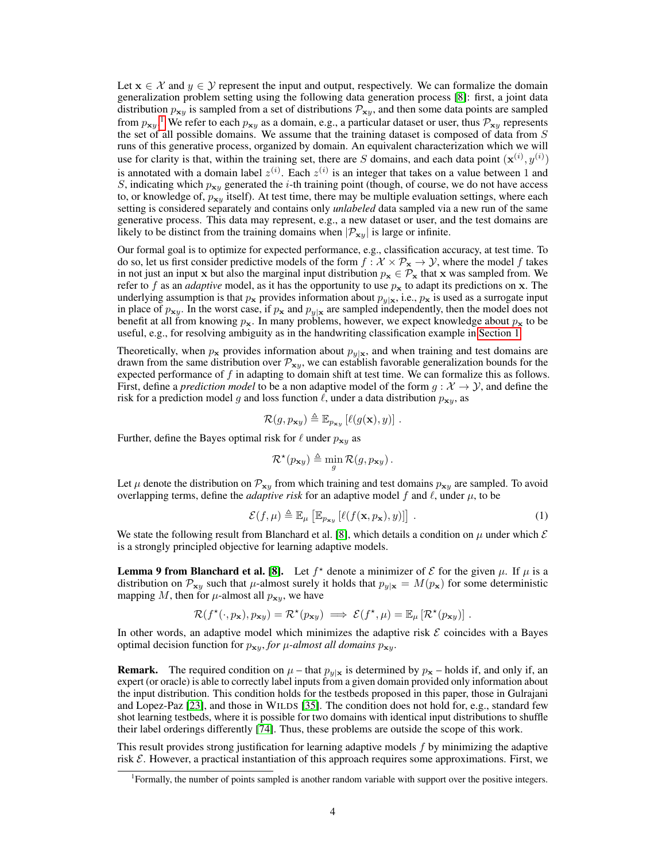Let  $x \in \mathcal{X}$  and  $y \in \mathcal{Y}$  represent the input and output, respectively. We can formalize the domain generalization problem setting using the following data generation process [\[8\]](#page-10-10): first, a joint data distribution  $p_{xy}$  is sampled from a set of distributions  $\mathcal{P}_{xy}$ , and then some data points are sampled from  $p_{xy}$ .<sup>[1](#page-3-0)</sup> We refer to each  $p_{xy}$  as a domain, e.g., a particular dataset or user, thus  $\mathcal{P}_{xy}$  represents the set of all possible domains. We assume that the training dataset is composed of data from  $S$ runs of this generative process, organized by domain. An equivalent characterization which we will use for clarity is that, within the training set, there are S domains, and each data point  $(\mathbf{x}^{(i)}, y^{(i)})$ is annotated with a domain label  $z^{(i)}$ . Each  $z^{(i)}$  is an integer that takes on a value between 1 and S, indicating which  $p_{xy}$  generated the *i*-th training point (though, of course, we do not have access to, or knowledge of,  $p_{xy}$  itself). At test time, there may be multiple evaluation settings, where each setting is considered separately and contains only *unlabeled* data sampled via a new run of the same generative process. This data may represent, e.g., a new dataset or user, and the test domains are likely to be distinct from the training domains when  $|\mathcal{P}_{xy}|$  is large or infinite.

Our formal goal is to optimize for expected performance, e.g., classification accuracy, at test time. To do so, let us first consider predictive models of the form  $f : \mathcal{X} \times \mathcal{P}_x \to \mathcal{Y}$ , where the model f takes in not just an input x but also the marginal input distribution  $p_x \in \mathcal{P}_x$  that x was sampled from. We refer to f as an *adaptive* model, as it has the opportunity to use  $p_x$  to adapt its predictions on x. The underlying assumption is that  $p_x$  provides information about  $p_{y|x}$ , i.e.,  $p_x$  is used as a surrogate input in place of  $p_{xy}$ . In the worst case, if  $p_x$  and  $p_{y|x}$  are sampled independently, then the model does not benefit at all from knowing  $p_x$ . In many problems, however, we expect knowledge about  $p_x$  to be useful, e.g., for resolving ambiguity as in the handwriting classification example in [Section 1.](#page-0-1)

Theoretically, when  $p_x$  provides information about  $p_y|x$ , and when training and test domains are drawn from the same distribution over  $\mathcal{P}_{x,y}$ , we can establish favorable generalization bounds for the expected performance of  $f$  in adapting to domain shift at test time. We can formalize this as follows. First, define a *prediction model* to be a non adaptive model of the form  $g: \mathcal{X} \to \mathcal{Y}$ , and define the risk for a prediction model g and loss function  $\ell$ , under a data distribution  $p_{xy}$ , as

$$
\mathcal{R}(g, p_{\mathbf{x}y}) \triangleq \mathbb{E}_{p_{\mathbf{x}y}}\left[\ell(g(\mathbf{x}), y)\right].
$$

Further, define the Bayes optimal risk for  $\ell$  under  $p_{xy}$  as

$$
\mathcal{R}^{\star}(p_{\mathbf{x}y}) \triangleq \min_{g} \mathcal{R}(g, p_{\mathbf{x}y}).
$$

Let  $\mu$  denote the distribution on  $\mathcal{P}_{x\nu}$  from which training and test domains  $p_{x\nu}$  are sampled. To avoid overlapping terms, define the *adaptive risk* for an adaptive model f and  $\ell$ , under  $\mu$ , to be

<span id="page-3-1"></span>
$$
\mathcal{E}(f,\mu) \triangleq \mathbb{E}_{\mu} \left[ \mathbb{E}_{p_{\mathbf{x}y}} \left[ \ell(f(\mathbf{x}, p_{\mathbf{x}}), y) \right] \right]. \tag{1}
$$

We state the following result from Blanchard et al. [\[8\]](#page-10-10), which details a condition on  $\mu$  under which  $\mathcal E$ is a strongly principled objective for learning adaptive models.

**Lemma 9 from Blanchard et al.** [\[8\]](#page-10-10). Let  $f^*$  denote a minimizer of  $\mathcal E$  for the given  $\mu$ . If  $\mu$  is a distribution on  $\mathcal{P}_{xy}$  such that  $\mu$ -almost surely it holds that  $p_{y|x} = M(p_x)$  for some deterministic mapping M, then for  $\mu$ -almost all  $p_{\mathbf{x}y}$ , we have

$$
\mathcal{R}(f^{\star}(\cdot, p_{\mathbf{x}}), p_{\mathbf{x}y}) = \mathcal{R}^{\star}(p_{\mathbf{x}y}) \implies \mathcal{E}(f^{\star}, \mu) = \mathbb{E}_{\mu} [\mathcal{R}^{\star}(p_{\mathbf{x}y})].
$$

In other words, an adaptive model which minimizes the adaptive risk  $\mathcal E$  coincides with a Bayes optimal decision function for  $p_{xy}$ , *for*  $\mu$ -almost all domains  $p_{xy}$ .

**Remark.** The required condition on  $\mu$  – that  $p_{\nu|x}$  is determined by  $p_x$  – holds if, and only if, an expert (or oracle) is able to correctly label inputs from a given domain provided only information about the input distribution. This condition holds for the testbeds proposed in this paper, those in Gulrajani and Lopez-Paz [\[23\]](#page-11-0), and those in WILDS [\[35\]](#page-11-1). The condition does not hold for, e.g., standard few shot learning testbeds, where it is possible for two domains with identical input distributions to shuffle their label orderings differently [\[74\]](#page-13-8). Thus, these problems are outside the scope of this work.

This result provides strong justification for learning adaptive models f by minimizing the adaptive risk  $\mathcal E$ . However, a practical instantiation of this approach requires some approximations. First, we

<span id="page-3-0"></span><sup>&</sup>lt;sup>1</sup>Formally, the number of points sampled is another random variable with support over the positive integers.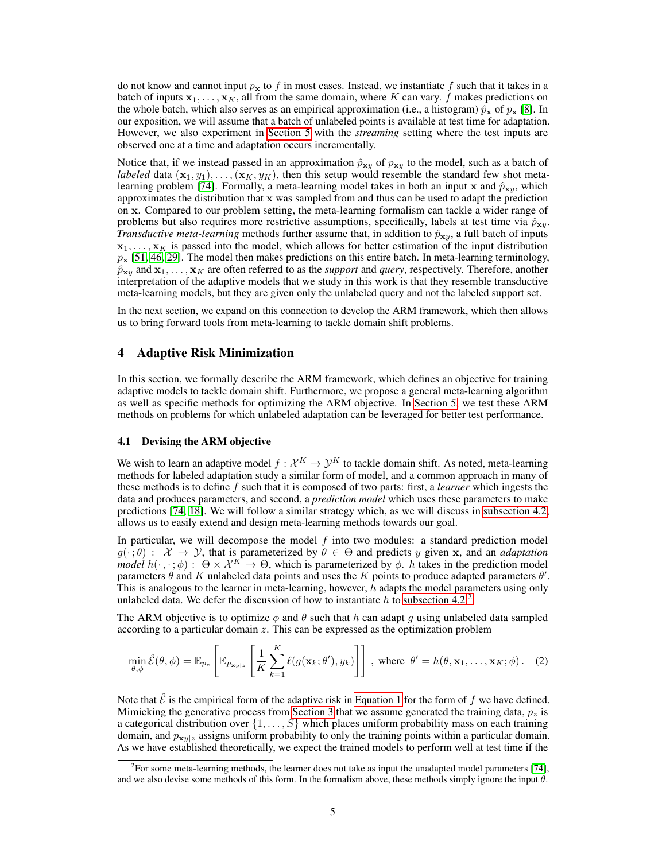do not know and cannot input  $p_x$  to f in most cases. Instead, we instantiate f such that it takes in a batch of inputs  $x_1, \ldots, x_k$ , all from the same domain, where K can vary. f makes predictions on the whole batch, which also serves as an empirical approximation (i.e., a histogram)  $\hat{p}_x$  of  $p_x$  [\[8\]](#page-10-10). In our exposition, we will assume that a batch of unlabeled points is available at test time for adaptation. However, we also experiment in [Section 5](#page-6-0) with the *streaming* setting where the test inputs are observed one at a time and adaptation occurs incrementally.

Notice that, if we instead passed in an approximation  $\hat{p}_{xy}$  of  $p_{xy}$  to the model, such as a batch of *labeled* data  $(\mathbf{x}_1, y_1), \ldots, (\mathbf{x}_K, y_K)$ , then this setup would resemble the standard few shot meta-learning problem [\[74\]](#page-13-8). Formally, a meta-learning model takes in both an input x and  $\hat{p}_{xv}$ , which approximates the distribution that  $x$  was sampled from and thus can be used to adapt the prediction on x. Compared to our problem setting, the meta-learning formalism can tackle a wider range of problems but also requires more restrictive assumptions, specifically, labels at test time via  $\hat{p}_{\mathbf{x}y}$ . *Transductive meta-learning* methods further assume that, in addition to  $\hat{p}_{\mathbf{x}y}$ , a full batch of inputs  $x_1, \ldots, x_k$  is passed into the model, which allows for better estimation of the input distribution  $p_x$  [\[51,](#page-12-8) [46,](#page-12-9) [29\]](#page-11-9). The model then makes predictions on this entire batch. In meta-learning terminology,  $\hat{p}_{xy}$  and  $x_1, \ldots, x_K$  are often referred to as the *support* and *query*, respectively. Therefore, another interpretation of the adaptive models that we study in this work is that they resemble transductive meta-learning models, but they are given only the unlabeled query and not the labeled support set.

In the next section, we expand on this connection to develop the ARM framework, which then allows us to bring forward tools from meta-learning to tackle domain shift problems.

# <span id="page-4-0"></span>4 Adaptive Risk Minimization

In this section, we formally describe the ARM framework, which defines an objective for training adaptive models to tackle domain shift. Furthermore, we propose a general meta-learning algorithm as well as specific methods for optimizing the ARM objective. In [Section 5,](#page-6-0) we test these ARM methods on problems for which unlabeled adaptation can be leveraged for better test performance.

#### 4.1 Devising the ARM objective

We wish to learn an adaptive model  $f: \mathcal{X}^K \to \mathcal{Y}^K$  to tackle domain shift. As noted, meta-learning methods for labeled adaptation study a similar form of model, and a common approach in many of these methods is to define f such that it is composed of two parts: first, a *learner* which ingests the data and produces parameters, and second, a *prediction model* which uses these parameters to make predictions [\[74,](#page-13-8) [18\]](#page-11-7). We will follow a similar strategy which, as we will discuss in [subsection 4.2,](#page-5-0) allows us to easily extend and design meta-learning methods towards our goal.

In particular, we will decompose the model  $f$  into two modules: a standard prediction model  $g(\cdot;\theta)$ :  $\mathcal{X} \to \mathcal{Y}$ , that is parameterized by  $\theta \in \Theta$  and predicts y given x, and an *adaptation model*  $h(\cdot, \cdot; \phi)$ :  $\Theta \times \mathcal{X}^K \to \Theta$ , which is parameterized by  $\phi$ . *h* takes in the prediction model parameters  $\theta$  and K unlabeled data points and uses the K points to produce adapted parameters  $\theta'$ . This is analogous to the learner in meta-learning, however, h adapts the model parameters using only unlabeled data. We defer the discussion of how to instantiate h to [subsection 4.2.](#page-5-0)<sup>[2](#page-4-1)</sup>

The ARM objective is to optimize  $\phi$  and  $\theta$  such that h can adapt g using unlabeled data sampled according to a particular domain  $z$ . This can be expressed as the optimization problem

<span id="page-4-2"></span>
$$
\min_{\theta,\phi} \hat{\mathcal{E}}(\theta,\phi) = \mathbb{E}_{p_z} \left[ \mathbb{E}_{p_{\mathbf{x}_y|z}} \left[ \frac{1}{K} \sum_{k=1}^K \ell(g(\mathbf{x}_k; \theta'), y_k) \right] \right], \text{ where } \theta' = h(\theta, \mathbf{x}_1, \dots, \mathbf{x}_K; \phi). \quad (2)
$$

Note that  $\hat{\mathcal{E}}$  is the empirical form of the adaptive risk in [Equation 1](#page-3-1) for the form of f we have defined. Mimicking the generative process from [Section 3](#page-2-0) that we assume generated the training data,  $p<sub>z</sub>$  is a categorical distribution over  $\{1, \ldots, S\}$  which places uniform probability mass on each training domain, and  $p_{\mathbf{x}y|z}$  assigns uniform probability to only the training points within a particular domain. As we have established theoretically, we expect the trained models to perform well at test time if the

<span id="page-4-1"></span><sup>&</sup>lt;sup>2</sup> For some meta-learning methods, the learner does not take as input the unadapted model parameters [\[74\]](#page-13-8), and we also devise some methods of this form. In the formalism above, these methods simply ignore the input  $\theta$ .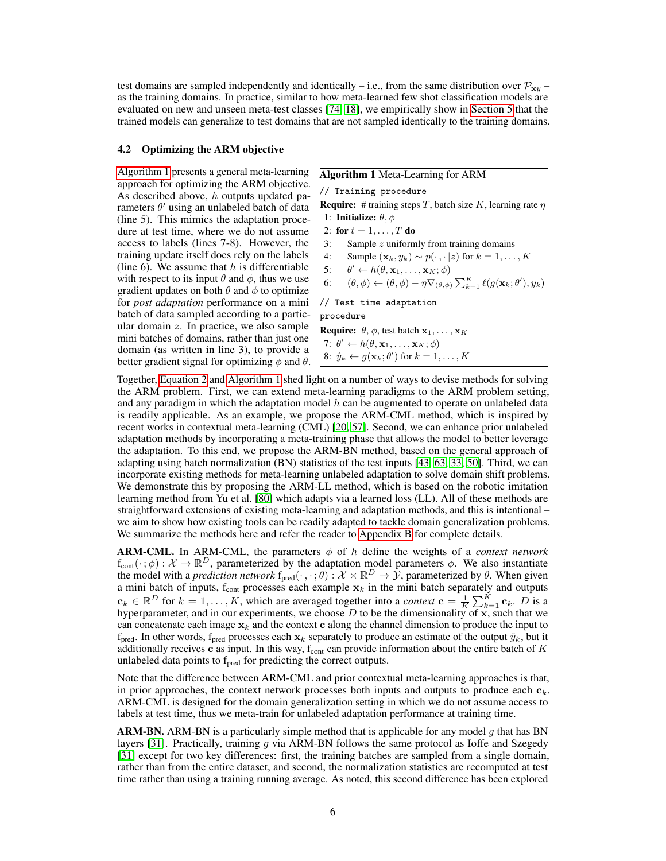test domains are sampled independently and identically – i.e., from the same distribution over  $\mathcal{P}_{x,y}$  – as the training domains. In practice, similar to how meta-learned few shot classification models are evaluated on new and unseen meta-test classes [\[74,](#page-13-8) [18\]](#page-11-7), we empirically show in [Section 5](#page-6-0) that the trained models can generalize to test domains that are not sampled identically to the training domains.

### <span id="page-5-0"></span>4.2 Optimizing the ARM objective

[Algorithm 1](#page-5-1) presents a general meta-learning approach for optimizing the ARM objective. As described above,  $h$  outputs updated parameters  $\theta'$  using an unlabeled batch of data (line 5). This mimics the adaptation procedure at test time, where we do not assume access to labels (lines 7-8). However, the training update itself does rely on the labels (line 6). We assume that  $h$  is differentiable with respect to its input  $\theta$  and  $\phi$ , thus we use gradient updates on both  $\theta$  and  $\phi$  to optimize for *post adaptation* performance on a mini batch of data sampled according to a particular domain z. In practice, we also sample mini batches of domains, rather than just one domain (as written in line 3), to provide a better gradient signal for optimizing  $\phi$  and  $\theta$ .

#### <span id="page-5-1"></span>Algorithm 1 Meta-Learning for ARM

// Training procedure

**Require:** # training steps T, batch size K, learning rate  $\eta$ 1: Initialize:  $\theta$ ,  $\phi$ 

2: for  $t = 1, \ldots, T$  do

3: Sample  $z$  uniformly from training domains

- 4: Sample  $(\mathbf{x}_k, y_k) \sim p(\cdot, \cdot | z)$  for  $k = 1, \dots, K$
- 5:  $v' \leftarrow h(\theta, \mathbf{x}_1, \dots, \mathbf{x}_K; \phi)$
- 6:  $(\theta, \phi) \leftarrow (\theta, \phi) \eta \nabla_{(\theta, \phi)} \sum_{k=1}^{K} \ell(g(\mathbf{x}_k; \theta'), y_k)$

// Test time adaptation procedure

**Require:**  $\theta$ ,  $\phi$ , test batch  $x_1, \ldots, x_K$ 7:  $\theta' \leftarrow h(\theta, \mathbf{x}_1, \dots, \mathbf{x}_K; \phi)$ 8:  $\hat{y}_k \leftarrow g(\mathbf{x}_k; \theta')$  for  $k = 1, \dots, K$ 

Together, [Equation 2](#page-4-2) and [Algorithm 1](#page-5-1) shed light on a number of ways to devise methods for solving the ARM problem. First, we can extend meta-learning paradigms to the ARM problem setting, and any paradigm in which the adaptation model  $h$  can be augmented to operate on unlabeled data is readily applicable. As an example, we propose the ARM-CML method, which is inspired by recent works in contextual meta-learning (CML) [\[20,](#page-11-8) [57\]](#page-13-11). Second, we can enhance prior unlabeled adaptation methods by incorporating a meta-training phase that allows the model to better leverage the adaptation. To this end, we propose the ARM-BN method, based on the general approach of adapting using batch normalization (BN) statistics of the test inputs [\[43,](#page-12-11) [63,](#page-13-2) [33,](#page-11-11) [50\]](#page-12-15). Third, we can incorporate existing methods for meta-learning unlabeled adaptation to solve domain shift problems. We demonstrate this by proposing the ARM-LL method, which is based on the robotic imitation learning method from Yu et al. [\[80\]](#page-14-3) which adapts via a learned loss (LL). All of these methods are straightforward extensions of existing meta-learning and adaptation methods, and this is intentional – we aim to show how existing tools can be readily adapted to tackle domain generalization problems. We summarize the methods here and refer the reader to [Appendix B](#page-15-0) for complete details.

**ARM-CML.** In ARM-CML, the parameters  $\phi$  of h define the weights of a *context network*  $f_{\text{cont}}(\cdot;\phi): \mathcal{X} \to \mathbb{R}^D$ , parameterized by the adaptation model parameters  $\phi$ . We also instantiate the model with a *prediction network*  $f_{pred}(\cdot, \cdot; \theta): \mathcal{X} \times \mathbb{R}^D \to \mathcal{Y}$ , parameterized by  $\theta$ . When given a mini batch of inputs,  $f_{\text{cont}}$  processes each example  $x_k$  in the mini batch separately and outputs  $\mathbf{c}_k \in \mathbb{R}^D$  for  $k = 1, ..., K$ , which are averaged together into a *context*  $\mathbf{c} = \frac{1}{K} \sum_{k=1}^{K} \mathbf{c}_k$ . *D* is a hyperparameter, and in our experiments, we choose  $D$  to be the dimensionality of x, such that we can concatenate each image  $x_k$  and the context c along the channel dimension to produce the input to  $f_{pred}$ . In other words,  $f_{pred}$  processes each  $x_k$  separately to produce an estimate of the output  $\hat{y}_k$ , but it additionally receives c as input. In this way,  $f_{\text{cont}}$  can provide information about the entire batch of  $K$ unlabeled data points to  $f_{pred}$  for predicting the correct outputs.

Note that the difference between ARM-CML and prior contextual meta-learning approaches is that, in prior approaches, the context network processes both inputs and outputs to produce each  $c_k$ . ARM-CML is designed for the domain generalization setting in which we do not assume access to labels at test time, thus we meta-train for unlabeled adaptation performance at training time.

**ARM-BN.** ARM-BN is a particularly simple method that is applicable for any model g that has BN layers  $[31]$ . Practically, training q via ARM-BN follows the same protocol as Ioffe and Szegedy [\[31\]](#page-11-12) except for two key differences: first, the training batches are sampled from a single domain, rather than from the entire dataset, and second, the normalization statistics are recomputed at test time rather than using a training running average. As noted, this second difference has been explored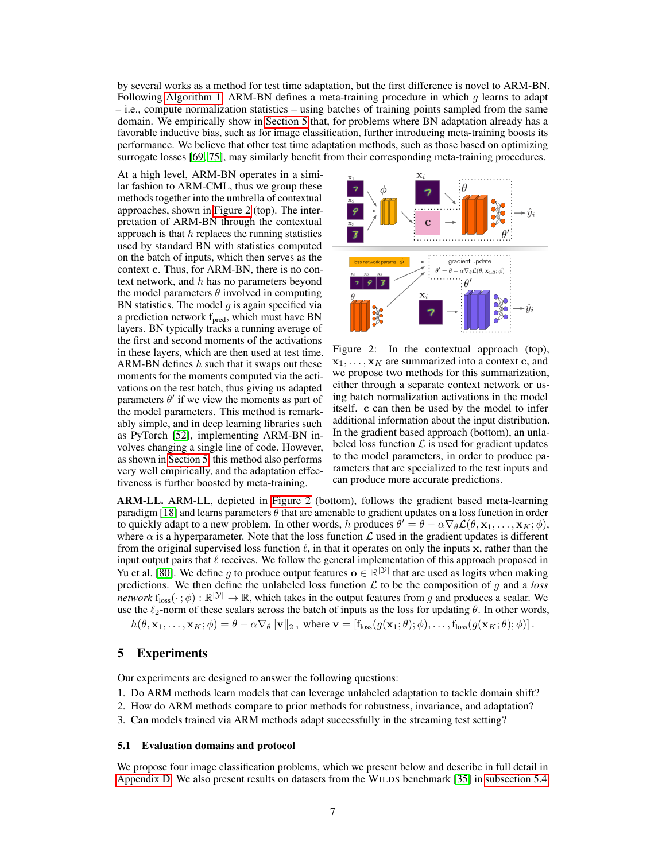by several works as a method for test time adaptation, but the first difference is novel to ARM-BN. Following [Algorithm 1,](#page-5-1) ARM-BN defines a meta-training procedure in which  $q$  learns to adapt – i.e., compute normalization statistics – using batches of training points sampled from the same domain. We empirically show in [Section 5](#page-6-0) that, for problems where BN adaptation already has a favorable inductive bias, such as for image classification, further introducing meta-training boosts its performance. We believe that other test time adaptation methods, such as those based on optimizing surrogate losses [\[69,](#page-13-1) [75\]](#page-14-0), may similarly benefit from their corresponding meta-training procedures.

At a high level, ARM-BN operates in a similar fashion to ARM-CML, thus we group these methods together into the umbrella of contextual approaches, shown in [Figure 2](#page-6-1) (top). The interpretation of ARM-BN through the contextual approach is that  $h$  replaces the running statistics used by standard BN with statistics computed on the batch of inputs, which then serves as the context c. Thus, for ARM-BN, there is no context network, and  $h$  has no parameters beyond the model parameters  $\theta$  involved in computing BN statistics. The model  $g$  is again specified via a prediction network f<sub>pred</sub>, which must have BN layers. BN typically tracks a running average of the first and second moments of the activations in these layers, which are then used at test time. ARM-BN defines  $h$  such that it swaps out these moments for the moments computed via the activations on the test batch, thus giving us adapted parameters  $\theta'$  if we view the moments as part of the model parameters. This method is remarkably simple, and in deep learning libraries such as PyTorch [\[52\]](#page-12-16), implementing ARM-BN involves changing a single line of code. However, as shown in [Section 5,](#page-6-0) this method also performs very well empirically, and the adaptation effectiveness is further boosted by meta-training.



<span id="page-6-1"></span>Figure 2: In the contextual approach (top),  $x_1, \ldots, x_k$  are summarized into a context c, and we propose two methods for this summarization, either through a separate context network or using batch normalization activations in the model itself. c can then be used by the model to infer additional information about the input distribution. In the gradient based approach (bottom), an unlabeled loss function  $\mathcal L$  is used for gradient updates to the model parameters, in order to produce parameters that are specialized to the test inputs and can produce more accurate predictions.

ARM-LL. ARM-LL, depicted in [Figure 2](#page-6-1) (bottom), follows the gradient based meta-learning paradigm [\[18\]](#page-11-7) and learns parameters  $\theta$  that are amenable to gradient updates on a loss function in order to quickly adapt to a new problem. In other words, h produces  $\theta' = \theta - \alpha \nabla_{\theta} \mathcal{L}(\theta, \mathbf{x}_1, \dots, \mathbf{x}_K; \phi)$ , where  $\alpha$  is a hyperparameter. Note that the loss function  $\mathcal L$  used in the gradient updates is different from the original supervised loss function  $\ell$ , in that it operates on only the inputs x, rather than the input output pairs that  $\ell$  receives. We follow the general implementation of this approach proposed in Yu et al. [\[80\]](#page-14-3). We define g to produce output features  $\mathbf{o} \in \mathbb{R}^{|\mathcal{Y}|}$  that are used as logits when making predictions. We then define the unlabeled loss function  $\mathcal L$  to be the composition of g and a *loss network*  $f_{loss}(\cdot;\phi): \mathbb{R}^{|\mathcal{Y}|} \to \mathbb{R}$ , which takes in the output features from g and produces a scalar. We use the  $\ell_2$ -norm of these scalars across the batch of inputs as the loss for updating  $\theta$ . In other words,

 $h(\theta, \mathbf{x}_1, \dots, \mathbf{x}_K; \phi) = \theta - \alpha \nabla_{\theta} ||\mathbf{v}||_2$ , where  $\mathbf{v} = [\mathbf{f}_{loss}(g(\mathbf{x}_1; \theta); \phi), \dots, \mathbf{f}_{loss}(g(\mathbf{x}_K; \theta); \phi)].$ 

### <span id="page-6-0"></span>5 Experiments

Our experiments are designed to answer the following questions:

- 1. Do ARM methods learn models that can leverage unlabeled adaptation to tackle domain shift?
- 2. How do ARM methods compare to prior methods for robustness, invariance, and adaptation?
- 3. Can models trained via ARM methods adapt successfully in the streaming test setting?

### 5.1 Evaluation domains and protocol

We propose four image classification problems, which we present below and describe in full detail in [Appendix D.](#page-17-0) We also present results on datasets from the WILDS benchmark [\[35\]](#page-11-1) in [subsection 5.4.](#page-9-0)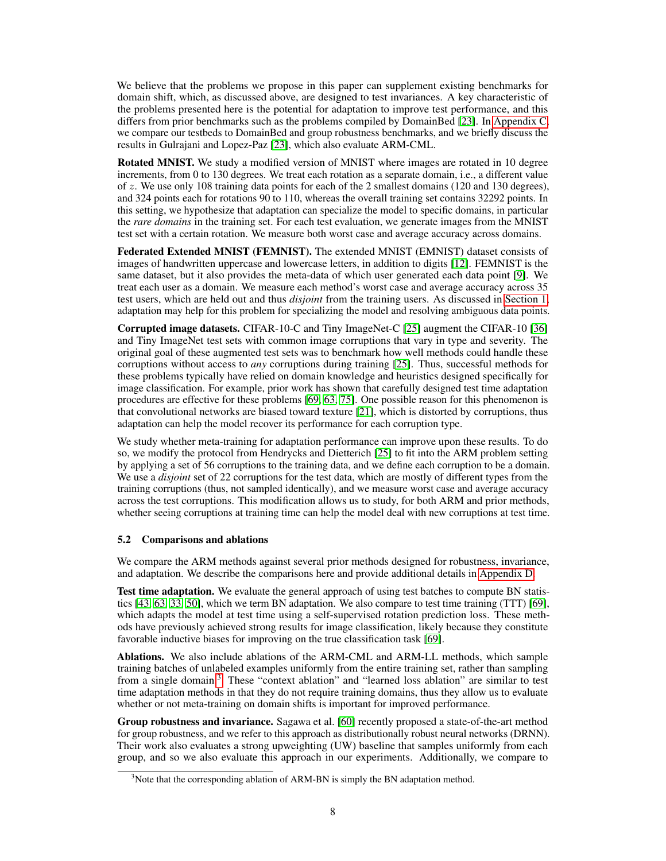We believe that the problems we propose in this paper can supplement existing benchmarks for domain shift, which, as discussed above, are designed to test invariances. A key characteristic of the problems presented here is the potential for adaptation to improve test performance, and this differs from prior benchmarks such as the problems compiled by DomainBed [\[23\]](#page-11-0). In [Appendix C,](#page-16-0) we compare our testbeds to DomainBed and group robustness benchmarks, and we briefly discuss the results in Gulrajani and Lopez-Paz [\[23\]](#page-11-0), which also evaluate ARM-CML.

Rotated MNIST. We study a modified version of MNIST where images are rotated in 10 degree increments, from 0 to 130 degrees. We treat each rotation as a separate domain, i.e., a different value of z. We use only 108 training data points for each of the 2 smallest domains (120 and 130 degrees), and 324 points each for rotations 90 to 110, whereas the overall training set contains 32292 points. In this setting, we hypothesize that adaptation can specialize the model to specific domains, in particular the *rare domains* in the training set. For each test evaluation, we generate images from the MNIST test set with a certain rotation. We measure both worst case and average accuracy across domains.

Federated Extended MNIST (FEMNIST). The extended MNIST (EMNIST) dataset consists of images of handwritten uppercase and lowercase letters, in addition to digits [\[12\]](#page-10-11). FEMNIST is the same dataset, but it also provides the meta-data of which user generated each data point [\[9\]](#page-10-2). We treat each user as a domain. We measure each method's worst case and average accuracy across 35 test users, which are held out and thus *disjoint* from the training users. As discussed in [Section 1,](#page-0-1) adaptation may help for this problem for specializing the model and resolving ambiguous data points.

Corrupted image datasets. CIFAR-10-C and Tiny ImageNet-C [\[25\]](#page-11-2) augment the CIFAR-10 [\[36\]](#page-12-17) and Tiny ImageNet test sets with common image corruptions that vary in type and severity. The original goal of these augmented test sets was to benchmark how well methods could handle these corruptions without access to *any* corruptions during training [\[25\]](#page-11-2). Thus, successful methods for these problems typically have relied on domain knowledge and heuristics designed specifically for image classification. For example, prior work has shown that carefully designed test time adaptation procedures are effective for these problems [\[69,](#page-13-1) [63,](#page-13-2) [75\]](#page-14-0). One possible reason for this phenomenon is that convolutional networks are biased toward texture [\[21\]](#page-11-13), which is distorted by corruptions, thus adaptation can help the model recover its performance for each corruption type.

We study whether meta-training for adaptation performance can improve upon these results. To do so, we modify the protocol from Hendrycks and Dietterich [\[25\]](#page-11-2) to fit into the ARM problem setting by applying a set of 56 corruptions to the training data, and we define each corruption to be a domain. We use a *disjoint* set of 22 corruptions for the test data, which are mostly of different types from the training corruptions (thus, not sampled identically), and we measure worst case and average accuracy across the test corruptions. This modification allows us to study, for both ARM and prior methods, whether seeing corruptions at training time can help the model deal with new corruptions at test time.

### 5.2 Comparisons and ablations

We compare the ARM methods against several prior methods designed for robustness, invariance, and adaptation. We describe the comparisons here and provide additional details in [Appendix D.](#page-17-0)

Test time adaptation. We evaluate the general approach of using test batches to compute BN statistics [\[43,](#page-12-11) [63,](#page-13-2) [33,](#page-11-11) [50\]](#page-12-15), which we term BN adaptation. We also compare to test time training (TTT) [\[69\]](#page-13-1), which adapts the model at test time using a self-supervised rotation prediction loss. These methods have previously achieved strong results for image classification, likely because they constitute favorable inductive biases for improving on the true classification task [\[69\]](#page-13-1).

Ablations. We also include ablations of the ARM-CML and ARM-LL methods, which sample training batches of unlabeled examples uniformly from the entire training set, rather than sampling from a single domain.[3](#page-7-0) These "context ablation" and "learned loss ablation" are similar to test time adaptation methods in that they do not require training domains, thus they allow us to evaluate whether or not meta-training on domain shifts is important for improved performance.

Group robustness and invariance. Sagawa et al. [\[60\]](#page-13-0) recently proposed a state-of-the-art method for group robustness, and we refer to this approach as distributionally robust neural networks (DRNN). Their work also evaluates a strong upweighting (UW) baseline that samples uniformly from each group, and so we also evaluate this approach in our experiments. Additionally, we compare to

<span id="page-7-0"></span> $3$ Note that the corresponding ablation of ARM-BN is simply the BN adaptation method.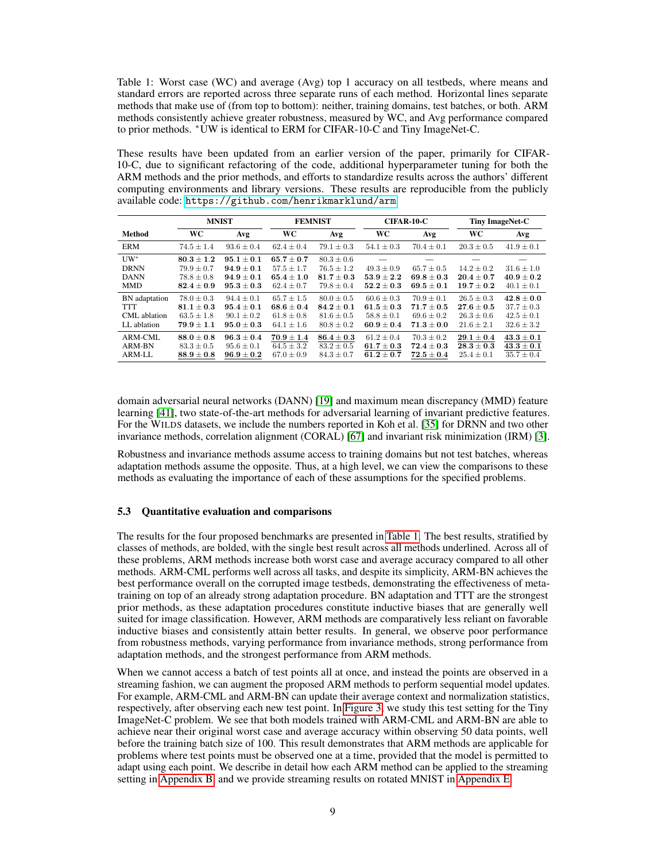<span id="page-8-0"></span>Table 1: Worst case (WC) and average (Avg) top 1 accuracy on all testbeds, where means and standard errors are reported across three separate runs of each method. Horizontal lines separate methods that make use of (from top to bottom): neither, training domains, test batches, or both. ARM methods consistently achieve greater robustness, measured by WC, and Avg performance compared to prior methods. <sup>∗</sup>UW is identical to ERM for CIFAR-10-C and Tiny ImageNet-C.

These results have been updated from an earlier version of the paper, primarily for CIFAR-10-C, due to significant refactoring of the code, additional hyperparameter tuning for both the ARM methods and the prior methods, and efforts to standardize results across the authors' different computing environments and library versions. These results are reproducible from the publicly available code: <https://github.com/henrikmarklund/arm>.

|               | <b>MNIST</b>   |                | <b>FEMNIST</b> |                | $CIFAR-10-C$   |                | <b>Tiny ImageNet-C</b> |                |
|---------------|----------------|----------------|----------------|----------------|----------------|----------------|------------------------|----------------|
| Method        | <b>WC</b>      | Avg            | WC             | Avg            | WC             | Avg            | <b>WC</b>              | Avg            |
| ERM           | $74.5 \pm 1.4$ | $93.6 \pm 0.4$ | $62.4 \pm 0.4$ | $79.1 \pm 0.3$ | $54.1 \pm 0.3$ | $70.4 \pm 0.1$ | $20.3 \pm 0.5$         | $41.9 \pm 0.1$ |
| $UW^*$        | $80.3 + 1.2$   | $95.1 + 0.1$   | $65.7 + 0.7$   | $80.3 \pm 0.6$ |                |                |                        |                |
| <b>DRNN</b>   | $79.9 + 0.7$   | $94.9 + 0.1$   | $57.5 + 1.7$   | $76.5 + 1.2$   | $49.3 + 0.9$   | $65.7 + 0.5$   | $14.2 + 0.2$           | $31.6 \pm 1.0$ |
| <b>DANN</b>   | $78.8 \pm 0.8$ | $94.9 + 0.1$   | $65.4 + 1.0$   | $81.7 + 0.3$   | $53.9 + 2.2$   | $69.8 + 0.3$   | $20.4 + 0.7$           | $40.9 + 0.2$   |
| <b>MMD</b>    | $82.4 \pm 0.9$ | $95.3 \pm 0.3$ | $62.4 \pm 0.7$ | $79.8 \pm 0.4$ | $52.2 + 0.3$   | $69.5 \pm 0.1$ | $19.7 + 0.2$           | $40.1 \pm 0.1$ |
| BN adaptation | $78.0 \pm 0.3$ | $94.4 \pm 0.1$ | $65.7 + 1.5$   | $80.0 + 0.5$   | $60.6 + 0.3$   | $70.9 + 0.1$   | $26.5 \pm 0.3$         | $42.8 \pm 0.0$ |
| TTT           | $81.1 + 0.3$   | $95.4 + 0.1$   | $68.6 \pm 0.4$ | $84.2 + 0.1$   | $61.5 + 0.3$   | $71.7 + 0.5$   | $27.6 + 0.5$           | $37.7 \pm 0.3$ |
| CML ablation  | $63.5 \pm 1.8$ | $90.1 \pm 0.2$ | $61.8 \pm 0.8$ | $81.6 \pm 0.5$ | $58.8 \pm 0.1$ | $69.6 \pm 0.2$ | $26.3 \pm 0.6$         | $42.5 \pm 0.1$ |
| LL ablation   | $79.9 + 1.1$   | $95.0 + 0.3$   | $64.1 + 1.6$   | $80.8 + 0.2$   | $60.9 + 0.4$   | $71.3 \pm 0.0$ | $21.6 + 2.1$           | $32.6 \pm 3.2$ |
| ARM-CML       | $88.0 + 0.8$   | $96.3 + 0.4$   | $70.9 + 1.4$   | $86.4 + 0.3$   | $61.2 + 0.4$   | $70.3 \pm 0.2$ | $29.1 + 0.4$           | $43.3 + 0.1$   |
| ARM-BN        | $83.3 \pm 0.5$ | $95.6 \pm 0.1$ | $64.5 \pm 3.2$ | $83.2 \pm 0.5$ | $61.7\pm0.3$   | $72.4\pm0.3$   | $28.3\pm0.3$           | $43.3 \pm 0.1$ |
| ARM-LL        | $88.9 + 0.8$   | $96.9 + 0.2$   | $67.0 + 0.9$   | $84.3 \pm 0.7$ | $61.2 + 0.7$   | $72.5 + 0.4$   | $25.4 + 0.1$           | $35.7 + 0.4$   |

domain adversarial neural networks (DANN) [\[19\]](#page-11-5) and maximum mean discrepancy (MMD) feature learning [\[41\]](#page-12-2), two state-of-the-art methods for adversarial learning of invariant predictive features. For the WILDS datasets, we include the numbers reported in Koh et al. [\[35\]](#page-11-1) for DRNN and two other invariance methods, correlation alignment (CORAL) [\[67\]](#page-13-4) and invariant risk minimization (IRM) [\[3\]](#page-10-1).

Robustness and invariance methods assume access to training domains but not test batches, whereas adaptation methods assume the opposite. Thus, at a high level, we can view the comparisons to these methods as evaluating the importance of each of these assumptions for the specified problems.

### 5.3 Quantitative evaluation and comparisons

The results for the four proposed benchmarks are presented in [Table 1.](#page-8-0) The best results, stratified by classes of methods, are bolded, with the single best result across all methods underlined. Across all of these problems, ARM methods increase both worst case and average accuracy compared to all other methods. ARM-CML performs well across all tasks, and despite its simplicity, ARM-BN achieves the best performance overall on the corrupted image testbeds, demonstrating the effectiveness of metatraining on top of an already strong adaptation procedure. BN adaptation and TTT are the strongest prior methods, as these adaptation procedures constitute inductive biases that are generally well suited for image classification. However, ARM methods are comparatively less reliant on favorable inductive biases and consistently attain better results. In general, we observe poor performance from robustness methods, varying performance from invariance methods, strong performance from adaptation methods, and the strongest performance from ARM methods.

When we cannot access a batch of test points all at once, and instead the points are observed in a streaming fashion, we can augment the proposed ARM methods to perform sequential model updates. For example, ARM-CML and ARM-BN can update their average context and normalization statistics, respectively, after observing each new test point. In [Figure 3,](#page-9-1) we study this test setting for the Tiny ImageNet-C problem. We see that both models trained with ARM-CML and ARM-BN are able to achieve near their original worst case and average accuracy within observing 50 data points, well before the training batch size of 100. This result demonstrates that ARM methods are applicable for problems where test points must be observed one at a time, provided that the model is permitted to adapt using each point. We describe in detail how each ARM method can be applied to the streaming setting in [Appendix B,](#page-15-0) and we provide streaming results on rotated MNIST in [Appendix E.](#page-19-0)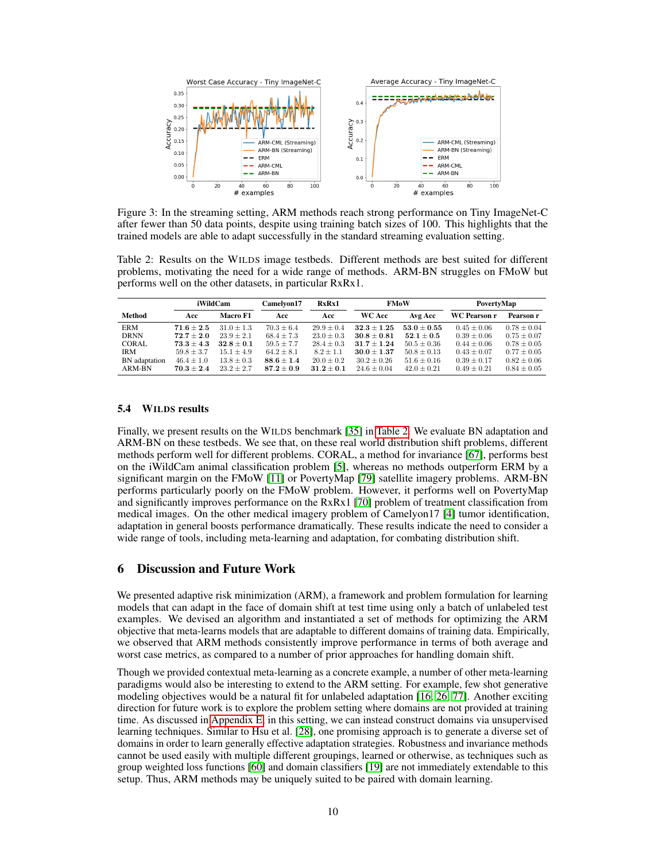

<span id="page-9-1"></span>Figure 3: In the streaming setting, ARM methods reach strong performance on Tiny ImageNet-C after fewer than 50 data points, despite using training batch sizes of 100. This highlights that the trained models are able to adapt successfully in the standard streaming evaluation setting.

<span id="page-9-2"></span>Table 2: Results on the WILDS image testbeds. Different methods are best suited for different problems, motivating the need for a wide range of methods. ARM-BN struggles on FMoW but performs well on the other datasets, in particular RxRx1.

|               | iWildCam       |                | Camelyon17     | RxRx1          | <b>FMoW</b>     |                 | PovertyMap          |                 |
|---------------|----------------|----------------|----------------|----------------|-----------------|-----------------|---------------------|-----------------|
| Method        | Acc            | Macro F1       | Acc            | Acc            | <b>WC Acc</b>   | Avg Acc         | <b>WC Pearson r</b> | Pearson r       |
| <b>ERM</b>    | $71.6 + 2.5$   | $31.0 + 1.3$   | $70.3 \pm 6.4$ | $29.9 + 0.4$   | $32.3 + 1.25$   | $53.0 + 0.55$   | $0.45 \pm 0.06$     | $0.78 \pm 0.04$ |
| <b>DRNN</b>   | $72.7 + 2.0$   | $23.9 + 2.1$   | $68.4 \pm 7.3$ | $23.0 \pm 0.3$ | $30.8 + 0.81$   | $52.1 \pm 0.5$  | $0.39 \pm 0.06$     | $0.75 \pm 0.07$ |
| CORAL         | $73.3 + 4.3$   | $32.8 + 0.1$   | $59.5 + 7.7$   | $28.4 + 0.3$   | $31.7 + 1.24$   | $50.5 + 0.36$   | $0.44 \pm 0.06$     | $0.78 \pm 0.05$ |
| <b>IRM</b>    | $59.8 + 3.7$   | $15.1 + 4.9$   | $64.2 \pm 8.1$ | $8.2 + 1.1$    | $30.0 + 1.37$   | $50.8 \pm 0.13$ | $0.43 \pm 0.07$     | $0.77 + 0.05$   |
| BN adaptation | $46.4 \pm 1.0$ | $13.8 \pm 0.3$ | $88.6 + 1.4$   | $20.0 \pm 0.2$ | $30.2 \pm 0.26$ | $51.6 \pm 0.16$ | $0.39 \pm 0.17$     | $0.82 \pm 0.06$ |
| ARM-BN        | $70.3 + 2.4$   | $23.2 + 2.7$   | $87.2 + 0.9$   | $31.2 + 0.1$   | $24.6 + 0.04$   | $42.0 \pm 0.21$ | $0.49 + 0.21$       | $0.84 \pm 0.05$ |

### <span id="page-9-0"></span>5.4 WILDS results

Finally, we present results on the WILDS benchmark [\[35\]](#page-11-1) in [Table 2.](#page-9-2) We evaluate BN adaptation and ARM-BN on these testbeds. We see that, on these real world distribution shift problems, different methods perform well for different problems. CORAL, a method for invariance [\[67\]](#page-13-4), performs best on the iWildCam animal classification problem [\[5\]](#page-10-12), whereas no methods outperform ERM by a significant margin on the FMoW [\[11\]](#page-10-13) or PovertyMap [\[79\]](#page-14-5) satellite imagery problems. ARM-BN performs particularly poorly on the FMoW problem. However, it performs well on PovertyMap and significantly improves performance on the RxRx1 [\[70\]](#page-13-18) problem of treatment classification from medical images. On the other medical imagery problem of Camelyon17 [\[4\]](#page-10-14) tumor identification, adaptation in general boosts performance dramatically. These results indicate the need to consider a wide range of tools, including meta-learning and adaptation, for combating distribution shift.

# 6 Discussion and Future Work

We presented adaptive risk minimization (ARM), a framework and problem formulation for learning models that can adapt in the face of domain shift at test time using only a batch of unlabeled test examples. We devised an algorithm and instantiated a set of methods for optimizing the ARM objective that meta-learns models that are adaptable to different domains of training data. Empirically, we observed that ARM methods consistently improve performance in terms of both average and worst case metrics, as compared to a number of prior approaches for handling domain shift.

Though we provided contextual meta-learning as a concrete example, a number of other meta-learning paradigms would also be interesting to extend to the ARM setting. For example, few shot generative modeling objectives would be a natural fit for unlabeled adaptation [\[16,](#page-10-15) [26,](#page-11-14) [77\]](#page-14-6). Another exciting direction for future work is to explore the problem setting where domains are not provided at training time. As discussed in [Appendix E,](#page-19-0) in this setting, we can instead construct domains via unsupervised learning techniques. Similar to Hsu et al. [\[28\]](#page-11-15), one promising approach is to generate a diverse set of domains in order to learn generally effective adaptation strategies. Robustness and invariance methods cannot be used easily with multiple different groupings, learned or otherwise, as techniques such as group weighted loss functions [\[60\]](#page-13-0) and domain classifiers [\[19\]](#page-11-5) are not immediately extendable to this setup. Thus, ARM methods may be uniquely suited to be paired with domain learning.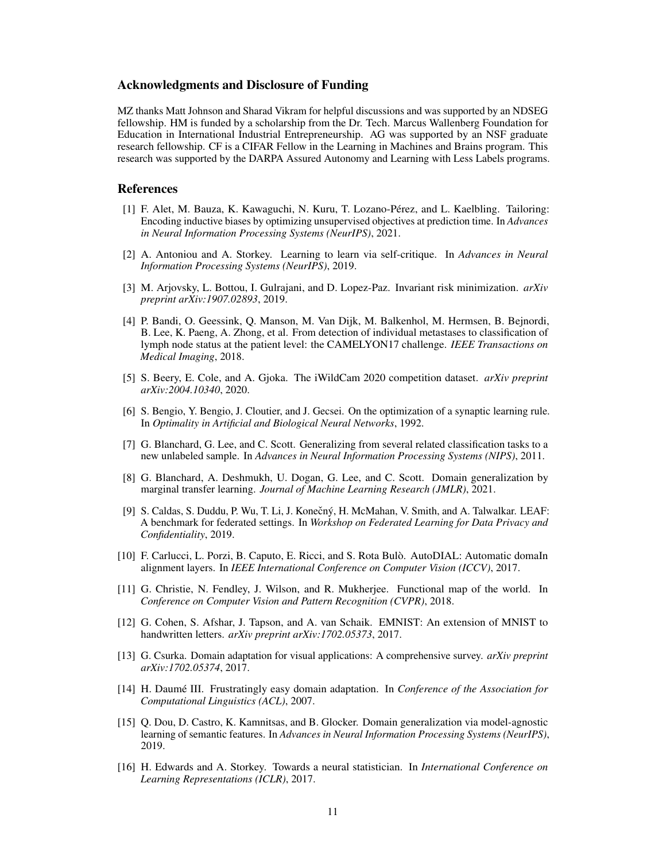### Acknowledgments and Disclosure of Funding

MZ thanks Matt Johnson and Sharad Vikram for helpful discussions and was supported by an NDSEG fellowship. HM is funded by a scholarship from the Dr. Tech. Marcus Wallenberg Foundation for Education in International Industrial Entrepreneurship. AG was supported by an NSF graduate research fellowship. CF is a CIFAR Fellow in the Learning in Machines and Brains program. This research was supported by the DARPA Assured Autonomy and Learning with Less Labels programs.

### References

- <span id="page-10-6"></span>[1] F. Alet, M. Bauza, K. Kawaguchi, N. Kuru, T. Lozano-Pérez, and L. Kaelbling. Tailoring: Encoding inductive biases by optimizing unsupervised objectives at prediction time. In *Advances in Neural Information Processing Systems (NeurIPS)*, 2021.
- <span id="page-10-5"></span>[2] A. Antoniou and A. Storkey. Learning to learn via self-critique. In *Advances in Neural Information Processing Systems (NeurIPS)*, 2019.
- <span id="page-10-1"></span>[3] M. Arjovsky, L. Bottou, I. Gulrajani, and D. Lopez-Paz. Invariant risk minimization. *arXiv preprint arXiv:1907.02893*, 2019.
- <span id="page-10-14"></span>[4] P. Bandi, O. Geessink, Q. Manson, M. Van Dijk, M. Balkenhol, M. Hermsen, B. Bejnordi, B. Lee, K. Paeng, A. Zhong, et al. From detection of individual metastases to classification of lymph node status at the patient level: the CAMELYON17 challenge. *IEEE Transactions on Medical Imaging*, 2018.
- <span id="page-10-12"></span>[5] S. Beery, E. Cole, and A. Gjoka. The iWildCam 2020 competition dataset. *arXiv preprint arXiv:2004.10340*, 2020.
- <span id="page-10-3"></span>[6] S. Bengio, Y. Bengio, J. Cloutier, and J. Gecsei. On the optimization of a synaptic learning rule. In *Optimality in Artificial and Biological Neural Networks*, 1992.
- <span id="page-10-0"></span>[7] G. Blanchard, G. Lee, and C. Scott. Generalizing from several related classification tasks to a new unlabeled sample. In *Advances in Neural Information Processing Systems (NIPS)*, 2011.
- <span id="page-10-10"></span>[8] G. Blanchard, A. Deshmukh, U. Dogan, G. Lee, and C. Scott. Domain generalization by marginal transfer learning. *Journal of Machine Learning Research (JMLR)*, 2021.
- <span id="page-10-2"></span>[9] S. Caldas, S. Duddu, P. Wu, T. Li, J. Konečný, H. McMahan, V. Smith, and A. Talwalkar. LEAF: A benchmark for federated settings. In *Workshop on Federated Learning for Data Privacy and Confidentiality*, 2019.
- <span id="page-10-9"></span>[10] F. Carlucci, L. Porzi, B. Caputo, E. Ricci, and S. Rota Bulò. AutoDIAL: Automatic domaIn alignment layers. In *IEEE International Conference on Computer Vision (ICCV)*, 2017.
- <span id="page-10-13"></span>[11] G. Christie, N. Fendley, J. Wilson, and R. Mukherjee. Functional map of the world. In *Conference on Computer Vision and Pattern Recognition (CVPR)*, 2018.
- <span id="page-10-11"></span>[12] G. Cohen, S. Afshar, J. Tapson, and A. van Schaik. EMNIST: An extension of MNIST to handwritten letters. *arXiv preprint arXiv:1702.05373*, 2017.
- <span id="page-10-7"></span>[13] G. Csurka. Domain adaptation for visual applications: A comprehensive survey. *arXiv preprint arXiv:1702.05374*, 2017.
- <span id="page-10-8"></span>[14] H. Daumé III. Frustratingly easy domain adaptation. In *Conference of the Association for Computational Linguistics (ACL)*, 2007.
- <span id="page-10-4"></span>[15] Q. Dou, D. Castro, K. Kamnitsas, and B. Glocker. Domain generalization via model-agnostic learning of semantic features. In *Advances in Neural Information Processing Systems (NeurIPS)*, 2019.
- <span id="page-10-15"></span>[16] H. Edwards and A. Storkey. Towards a neural statistician. In *International Conference on Learning Representations (ICLR)*, 2017.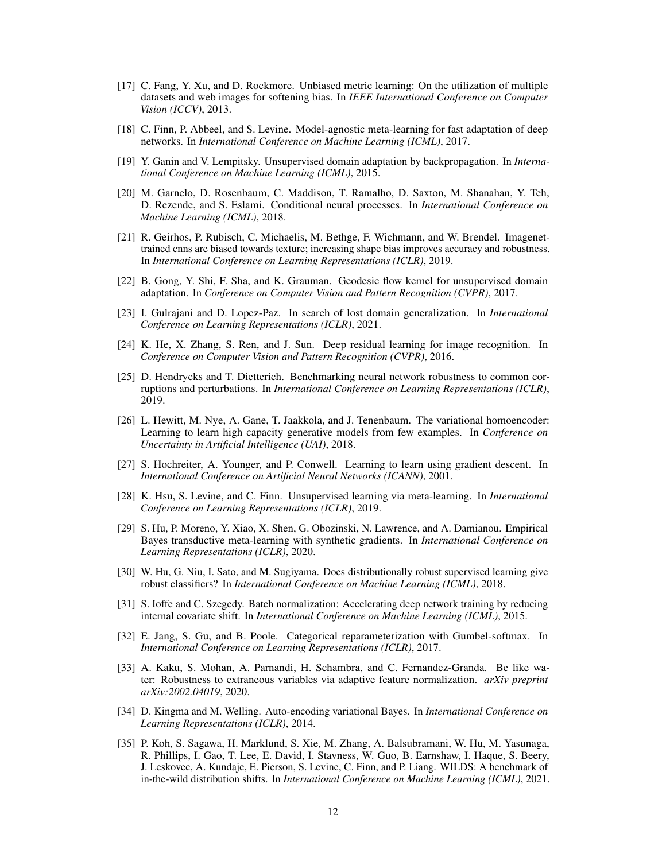- <span id="page-11-3"></span>[17] C. Fang, Y. Xu, and D. Rockmore. Unbiased metric learning: On the utilization of multiple datasets and web images for softening bias. In *IEEE International Conference on Computer Vision (ICCV)*, 2013.
- <span id="page-11-7"></span>[18] C. Finn, P. Abbeel, and S. Levine. Model-agnostic meta-learning for fast adaptation of deep networks. In *International Conference on Machine Learning (ICML)*, 2017.
- <span id="page-11-5"></span>[19] Y. Ganin and V. Lempitsky. Unsupervised domain adaptation by backpropagation. In *International Conference on Machine Learning (ICML)*, 2015.
- <span id="page-11-8"></span>[20] M. Garnelo, D. Rosenbaum, C. Maddison, T. Ramalho, D. Saxton, M. Shanahan, Y. Teh, D. Rezende, and S. Eslami. Conditional neural processes. In *International Conference on Machine Learning (ICML)*, 2018.
- <span id="page-11-13"></span>[21] R. Geirhos, P. Rubisch, C. Michaelis, M. Bethge, F. Wichmann, and W. Brendel. Imagenettrained cnns are biased towards texture; increasing shape bias improves accuracy and robustness. In *International Conference on Learning Representations (ICLR)*, 2019.
- <span id="page-11-10"></span>[22] B. Gong, Y. Shi, F. Sha, and K. Grauman. Geodesic flow kernel for unsupervised domain adaptation. In *Conference on Computer Vision and Pattern Recognition (CVPR)*, 2017.
- <span id="page-11-0"></span>[23] I. Gulrajani and D. Lopez-Paz. In search of lost domain generalization. In *International Conference on Learning Representations (ICLR)*, 2021.
- <span id="page-11-16"></span>[24] K. He, X. Zhang, S. Ren, and J. Sun. Deep residual learning for image recognition. In *Conference on Computer Vision and Pattern Recognition (CVPR)*, 2016.
- <span id="page-11-2"></span>[25] D. Hendrycks and T. Dietterich. Benchmarking neural network robustness to common corruptions and perturbations. In *International Conference on Learning Representations (ICLR)*, 2019.
- <span id="page-11-14"></span>[26] L. Hewitt, M. Nye, A. Gane, T. Jaakkola, and J. Tenenbaum. The variational homoencoder: Learning to learn high capacity generative models from few examples. In *Conference on Uncertainty in Artificial Intelligence (UAI)*, 2018.
- <span id="page-11-6"></span>[27] S. Hochreiter, A. Younger, and P. Conwell. Learning to learn using gradient descent. In *International Conference on Artificial Neural Networks (ICANN)*, 2001.
- <span id="page-11-15"></span>[28] K. Hsu, S. Levine, and C. Finn. Unsupervised learning via meta-learning. In *International Conference on Learning Representations (ICLR)*, 2019.
- <span id="page-11-9"></span>[29] S. Hu, P. Moreno, Y. Xiao, X. Shen, G. Obozinski, N. Lawrence, and A. Damianou. Empirical Bayes transductive meta-learning with synthetic gradients. In *International Conference on Learning Representations (ICLR)*, 2020.
- <span id="page-11-4"></span>[30] W. Hu, G. Niu, I. Sato, and M. Sugiyama. Does distributionally robust supervised learning give robust classifiers? In *International Conference on Machine Learning (ICML)*, 2018.
- <span id="page-11-12"></span>[31] S. Ioffe and C. Szegedy. Batch normalization: Accelerating deep network training by reducing internal covariate shift. In *International Conference on Machine Learning (ICML)*, 2015.
- <span id="page-11-18"></span>[32] E. Jang, S. Gu, and B. Poole. Categorical reparameterization with Gumbel-softmax. In *International Conference on Learning Representations (ICLR)*, 2017.
- <span id="page-11-11"></span>[33] A. Kaku, S. Mohan, A. Parnandi, H. Schambra, and C. Fernandez-Granda. Be like water: Robustness to extraneous variables via adaptive feature normalization. *arXiv preprint arXiv:2002.04019*, 2020.
- <span id="page-11-17"></span>[34] D. Kingma and M. Welling. Auto-encoding variational Bayes. In *International Conference on Learning Representations (ICLR)*, 2014.
- <span id="page-11-1"></span>[35] P. Koh, S. Sagawa, H. Marklund, S. Xie, M. Zhang, A. Balsubramani, W. Hu, M. Yasunaga, R. Phillips, I. Gao, T. Lee, E. David, I. Stavness, W. Guo, B. Earnshaw, I. Haque, S. Beery, J. Leskovec, A. Kundaje, E. Pierson, S. Levine, C. Finn, and P. Liang. WILDS: A benchmark of in-the-wild distribution shifts. In *International Conference on Machine Learning (ICML)*, 2021.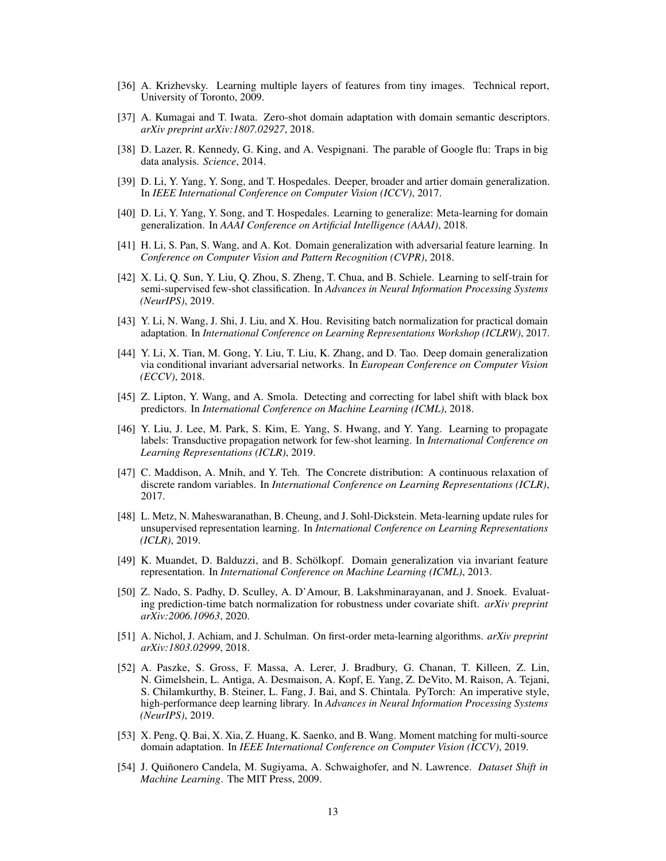- <span id="page-12-17"></span>[36] A. Krizhevsky. Learning multiple layers of features from tiny images. Technical report, University of Toronto, 2009.
- <span id="page-12-13"></span>[37] A. Kumagai and T. Iwata. Zero-shot domain adaptation with domain semantic descriptors. *arXiv preprint arXiv:1807.02927*, 2018.
- <span id="page-12-1"></span>[38] D. Lazer, R. Kennedy, G. King, and A. Vespignani. The parable of Google flu: Traps in big data analysis. *Science*, 2014.
- <span id="page-12-4"></span>[39] D. Li, Y. Yang, Y. Song, and T. Hospedales. Deeper, broader and artier domain generalization. In *IEEE International Conference on Computer Vision (ICCV)*, 2017.
- <span id="page-12-6"></span>[40] D. Li, Y. Yang, Y. Song, and T. Hospedales. Learning to generalize: Meta-learning for domain generalization. In *AAAI Conference on Artificial Intelligence (AAAI)*, 2018.
- <span id="page-12-2"></span>[41] H. Li, S. Pan, S. Wang, and A. Kot. Domain generalization with adversarial feature learning. In *Conference on Computer Vision and Pattern Recognition (CVPR)*, 2018.
- <span id="page-12-7"></span>[42] X. Li, Q. Sun, Y. Liu, Q. Zhou, S. Zheng, T. Chua, and B. Schiele. Learning to self-train for semi-supervised few-shot classification. In *Advances in Neural Information Processing Systems (NeurIPS)*, 2019.
- <span id="page-12-11"></span>[43] Y. Li, N. Wang, J. Shi, J. Liu, and X. Hou. Revisiting batch normalization for practical domain adaptation. In *International Conference on Learning Representations Workshop (ICLRW)*, 2017.
- <span id="page-12-5"></span>[44] Y. Li, X. Tian, M. Gong, Y. Liu, T. Liu, K. Zhang, and D. Tao. Deep domain generalization via conditional invariant adversarial networks. In *European Conference on Computer Vision (ECCV)*, 2018.
- <span id="page-12-14"></span>[45] Z. Lipton, Y. Wang, and A. Smola. Detecting and correcting for label shift with black box predictors. In *International Conference on Machine Learning (ICML)*, 2018.
- <span id="page-12-9"></span>[46] Y. Liu, J. Lee, M. Park, S. Kim, E. Yang, S. Hwang, and Y. Yang. Learning to propagate labels: Transductive propagation network for few-shot learning. In *International Conference on Learning Representations (ICLR)*, 2019.
- <span id="page-12-18"></span>[47] C. Maddison, A. Mnih, and Y. Teh. The Concrete distribution: A continuous relaxation of discrete random variables. In *International Conference on Learning Representations (ICLR)*, 2017.
- <span id="page-12-10"></span>[48] L. Metz, N. Maheswaranathan, B. Cheung, and J. Sohl-Dickstein. Meta-learning update rules for unsupervised representation learning. In *International Conference on Learning Representations (ICLR)*, 2019.
- <span id="page-12-12"></span>[49] K. Muandet, D. Balduzzi, and B. Schölkopf. Domain generalization via invariant feature representation. In *International Conference on Machine Learning (ICML)*, 2013.
- <span id="page-12-15"></span>[50] Z. Nado, S. Padhy, D. Sculley, A. D'Amour, B. Lakshminarayanan, and J. Snoek. Evaluating prediction-time batch normalization for robustness under covariate shift. *arXiv preprint arXiv:2006.10963*, 2020.
- <span id="page-12-8"></span>[51] A. Nichol, J. Achiam, and J. Schulman. On first-order meta-learning algorithms. *arXiv preprint arXiv:1803.02999*, 2018.
- <span id="page-12-16"></span>[52] A. Paszke, S. Gross, F. Massa, A. Lerer, J. Bradbury, G. Chanan, T. Killeen, Z. Lin, N. Gimelshein, L. Antiga, A. Desmaison, A. Kopf, E. Yang, Z. DeVito, M. Raison, A. Tejani, S. Chilamkurthy, B. Steiner, L. Fang, J. Bai, and S. Chintala. PyTorch: An imperative style, high-performance deep learning library. In *Advances in Neural Information Processing Systems (NeurIPS)*, 2019.
- <span id="page-12-3"></span>[53] X. Peng, Q. Bai, X. Xia, Z. Huang, K. Saenko, and B. Wang. Moment matching for multi-source domain adaptation. In *IEEE International Conference on Computer Vision (ICCV)*, 2019.
- <span id="page-12-0"></span>[54] J. Quiñonero Candela, M. Sugiyama, A. Schwaighofer, and N. Lawrence. *Dataset Shift in Machine Learning*. The MIT Press, 2009.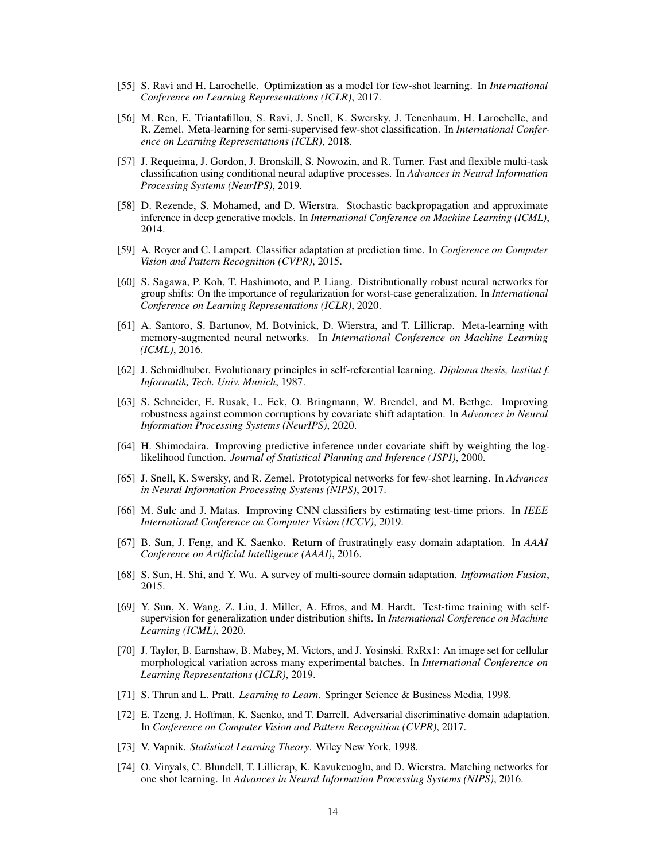- <span id="page-13-9"></span>[55] S. Ravi and H. Larochelle. Optimization as a model for few-shot learning. In *International Conference on Learning Representations (ICLR)*, 2017.
- <span id="page-13-12"></span>[56] M. Ren, E. Triantafillou, S. Ravi, J. Snell, K. Swersky, J. Tenenbaum, H. Larochelle, and R. Zemel. Meta-learning for semi-supervised few-shot classification. In *International Conference on Learning Representations (ICLR)*, 2018.
- <span id="page-13-11"></span>[57] J. Requeima, J. Gordon, J. Bronskill, S. Nowozin, and R. Turner. Fast and flexible multi-task classification using conditional neural adaptive processes. In *Advances in Neural Information Processing Systems (NeurIPS)*, 2019.
- <span id="page-13-19"></span>[58] D. Rezende, S. Mohamed, and D. Wierstra. Stochastic backpropagation and approximate inference in deep generative models. In *International Conference on Machine Learning (ICML)*, 2014.
- <span id="page-13-16"></span>[59] A. Royer and C. Lampert. Classifier adaptation at prediction time. In *Conference on Computer Vision and Pattern Recognition (CVPR)*, 2015.
- <span id="page-13-0"></span>[60] S. Sagawa, P. Koh, T. Hashimoto, and P. Liang. Distributionally robust neural networks for group shifts: On the importance of regularization for worst-case generalization. In *International Conference on Learning Representations (ICLR)*, 2020.
- <span id="page-13-7"></span>[61] A. Santoro, S. Bartunov, M. Botvinick, D. Wierstra, and T. Lillicrap. Meta-learning with memory-augmented neural networks. In *International Conference on Machine Learning (ICML)*, 2016.
- <span id="page-13-5"></span>[62] J. Schmidhuber. Evolutionary principles in self-referential learning. *Diploma thesis, Institut f. Informatik, Tech. Univ. Munich*, 1987.
- <span id="page-13-2"></span>[63] S. Schneider, E. Rusak, L. Eck, O. Bringmann, W. Brendel, and M. Bethge. Improving robustness against common corruptions by covariate shift adaptation. In *Advances in Neural Information Processing Systems (NeurIPS)*, 2020.
- <span id="page-13-14"></span>[64] H. Shimodaira. Improving predictive inference under covariate shift by weighting the loglikelihood function. *Journal of Statistical Planning and Inference (JSPI)*, 2000.
- <span id="page-13-10"></span>[65] J. Snell, K. Swersky, and R. Zemel. Prototypical networks for few-shot learning. In *Advances in Neural Information Processing Systems (NIPS)*, 2017.
- <span id="page-13-17"></span>[66] M. Sulc and J. Matas. Improving CNN classifiers by estimating test-time priors. In *IEEE International Conference on Computer Vision (ICCV)*, 2019.
- <span id="page-13-4"></span>[67] B. Sun, J. Feng, and K. Saenko. Return of frustratingly easy domain adaptation. In *AAAI Conference on Artificial Intelligence (AAAI)*, 2016.
- <span id="page-13-3"></span>[68] S. Sun, H. Shi, and Y. Wu. A survey of multi-source domain adaptation. *Information Fusion*, 2015.
- <span id="page-13-1"></span>[69] Y. Sun, X. Wang, Z. Liu, J. Miller, A. Efros, and M. Hardt. Test-time training with selfsupervision for generalization under distribution shifts. In *International Conference on Machine Learning (ICML)*, 2020.
- <span id="page-13-18"></span>[70] J. Taylor, B. Earnshaw, B. Mabey, M. Victors, and J. Yosinski. RxRx1: An image set for cellular morphological variation across many experimental batches. In *International Conference on Learning Representations (ICLR)*, 2019.
- <span id="page-13-6"></span>[71] S. Thrun and L. Pratt. *Learning to Learn*. Springer Science & Business Media, 1998.
- <span id="page-13-15"></span>[72] E. Tzeng, J. Hoffman, K. Saenko, and T. Darrell. Adversarial discriminative domain adaptation. In *Conference on Computer Vision and Pattern Recognition (CVPR)*, 2017.
- <span id="page-13-13"></span>[73] V. Vapnik. *Statistical Learning Theory*. Wiley New York, 1998.
- <span id="page-13-8"></span>[74] O. Vinyals, C. Blundell, T. Lillicrap, K. Kavukcuoglu, and D. Wierstra. Matching networks for one shot learning. In *Advances in Neural Information Processing Systems (NIPS)*, 2016.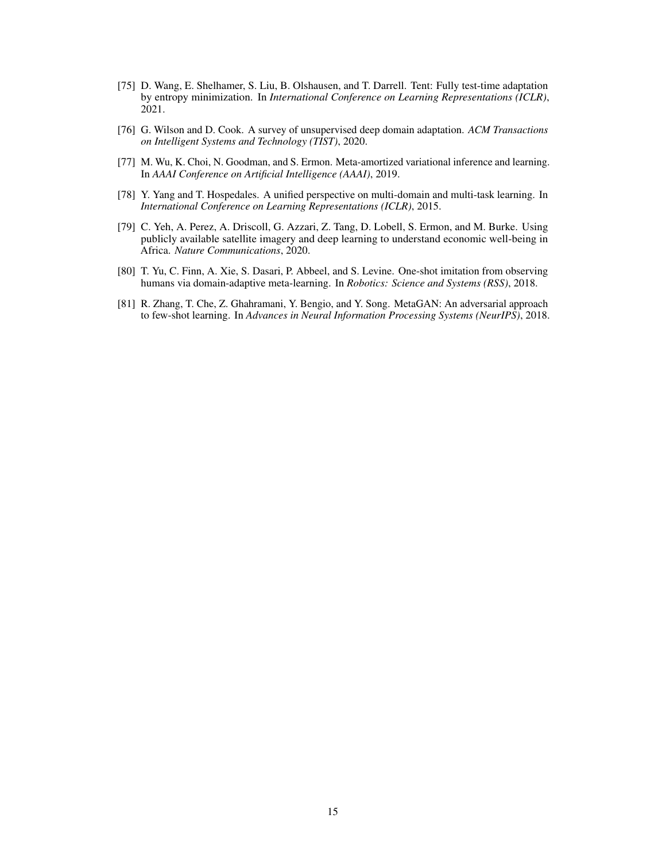- <span id="page-14-0"></span>[75] D. Wang, E. Shelhamer, S. Liu, B. Olshausen, and T. Darrell. Tent: Fully test-time adaptation by entropy minimization. In *International Conference on Learning Representations (ICLR)*, 2021.
- <span id="page-14-4"></span>[76] G. Wilson and D. Cook. A survey of unsupervised deep domain adaptation. *ACM Transactions on Intelligent Systems and Technology (TIST)*, 2020.
- <span id="page-14-6"></span>[77] M. Wu, K. Choi, N. Goodman, and S. Ermon. Meta-amortized variational inference and learning. In *AAAI Conference on Artificial Intelligence (AAAI)*, 2019.
- <span id="page-14-1"></span>[78] Y. Yang and T. Hospedales. A unified perspective on multi-domain and multi-task learning. In *International Conference on Learning Representations (ICLR)*, 2015.
- <span id="page-14-5"></span>[79] C. Yeh, A. Perez, A. Driscoll, G. Azzari, Z. Tang, D. Lobell, S. Ermon, and M. Burke. Using publicly available satellite imagery and deep learning to understand economic well-being in Africa. *Nature Communications*, 2020.
- <span id="page-14-3"></span>[80] T. Yu, C. Finn, A. Xie, S. Dasari, P. Abbeel, and S. Levine. One-shot imitation from observing humans via domain-adaptive meta-learning. In *Robotics: Science and Systems (RSS)*, 2018.
- <span id="page-14-2"></span>[81] R. Zhang, T. Che, Z. Ghahramani, Y. Bengio, and Y. Song. MetaGAN: An adversarial approach to few-shot learning. In *Advances in Neural Information Processing Systems (NeurIPS)*, 2018.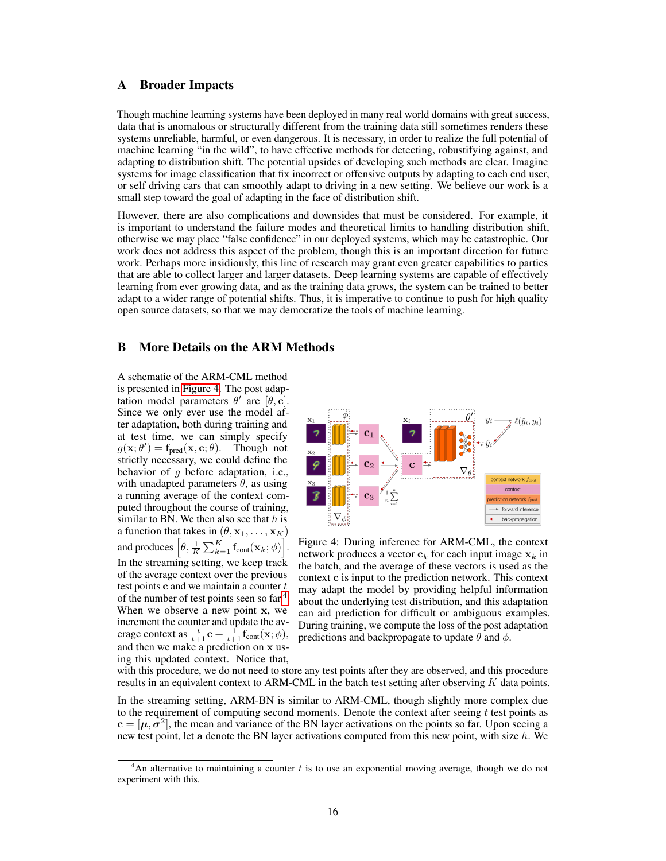# A Broader Impacts

Though machine learning systems have been deployed in many real world domains with great success, data that is anomalous or structurally different from the training data still sometimes renders these systems unreliable, harmful, or even dangerous. It is necessary, in order to realize the full potential of machine learning "in the wild", to have effective methods for detecting, robustifying against, and adapting to distribution shift. The potential upsides of developing such methods are clear. Imagine systems for image classification that fix incorrect or offensive outputs by adapting to each end user, or self driving cars that can smoothly adapt to driving in a new setting. We believe our work is a small step toward the goal of adapting in the face of distribution shift.

However, there are also complications and downsides that must be considered. For example, it is important to understand the failure modes and theoretical limits to handling distribution shift, otherwise we may place "false confidence" in our deployed systems, which may be catastrophic. Our work does not address this aspect of the problem, though this is an important direction for future work. Perhaps more insidiously, this line of research may grant even greater capabilities to parties that are able to collect larger and larger datasets. Deep learning systems are capable of effectively learning from ever growing data, and as the training data grows, the system can be trained to better adapt to a wider range of potential shifts. Thus, it is imperative to continue to push for high quality open source datasets, so that we may democratize the tools of machine learning.

# <span id="page-15-0"></span>B More Details on the ARM Methods

A schematic of the ARM-CML method is presented in [Figure 4.](#page-15-1) The post adaptation model parameters  $\theta'$  are  $[\theta, \mathbf{c}]$ . Since we only ever use the model after adaptation, both during training and at test time, we can simply specify  $g(\mathbf{x}; \theta') = f_{pred}(\mathbf{x}, \mathbf{c}; \theta)$ . Though not strictly necessary, we could define the behavior of  $q$  before adaptation, i.e., with unadapted parameters  $\theta$ , as using a running average of the context computed throughout the course of training, similar to BN. We then also see that  $h$  is a function that takes in  $(\theta, \mathbf{x}_1, \dots, \mathbf{x}_K)$ and produces  $\left[\theta, \frac{1}{K} \sum_{k=1}^{K} \mathbf{f}_{\text{cont}}(\mathbf{x}_k; \phi)\right]$ . In the streaming setting, we keep track of the average context over the previous test points  $c$  and we maintain a counter  $t$ of the number of test points seen so far.[4](#page-15-2) When we observe a new point x, we increment the counter and update the average context as  $\frac{t}{t+1} \mathbf{c} + \frac{1}{t+1} \mathbf{f}_{cont}(\mathbf{x}; \phi)$ , and then we make a prediction on x using this updated context. Notice that,



<span id="page-15-1"></span>Figure 4: During inference for ARM-CML, the context network produces a vector  $c_k$  for each input image  $x_k$  in the batch, and the average of these vectors is used as the context c is input to the prediction network. This context may adapt the model by providing helpful information about the underlying test distribution, and this adaptation can aid prediction for difficult or ambiguous examples. During training, we compute the loss of the post adaptation predictions and backpropagate to update  $\theta$  and  $\phi$ .

with this procedure, we do not need to store any test points after they are observed, and this procedure results in an equivalent context to ARM-CML in the batch test setting after observing  $K$  data points.

In the streaming setting, ARM-BN is similar to ARM-CML, though slightly more complex due to the requirement of computing second moments. Denote the context after seeing  $t$  test points as  $c = [\mu, \sigma^2]$ , the mean and variance of the BN layer activations on the points so far. Upon seeing a new test point, let a denote the BN layer activations computed from this new point, with size h. We

<span id="page-15-2"></span> $4$ An alternative to maintaining a counter t is to use an exponential moving average, though we do not experiment with this.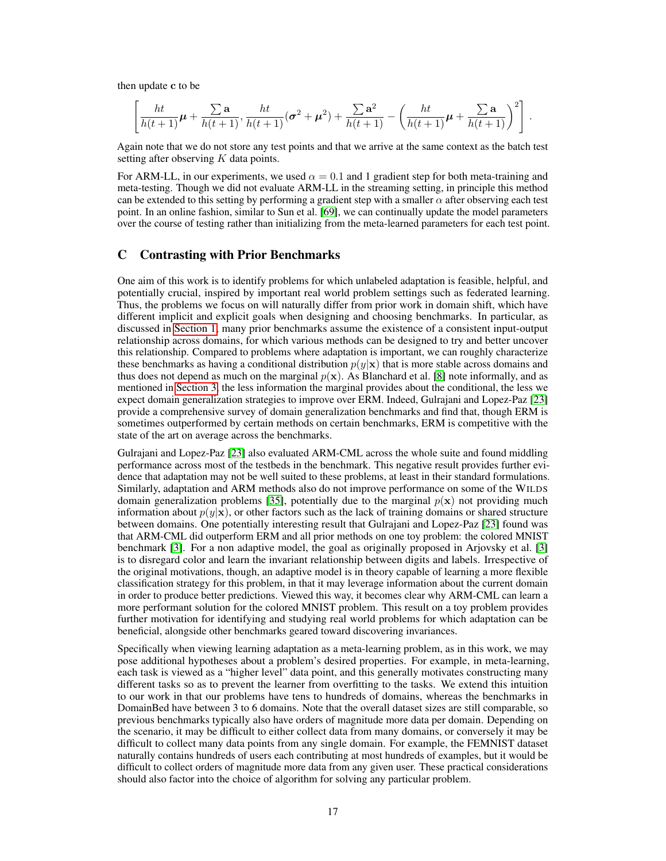then update c to be

$$
\left[\frac{ht}{h(t+1)}\boldsymbol{\mu} + \frac{\sum \mathbf{a}}{h(t+1)}, \frac{ht}{h(t+1)}(\boldsymbol{\sigma}^2 + \boldsymbol{\mu}^2) + \frac{\sum \mathbf{a}^2}{h(t+1)} - \left(\frac{ht}{h(t+1)}\boldsymbol{\mu} + \frac{\sum \mathbf{a}}{h(t+1)}\right)^2\right].
$$

Again note that we do not store any test points and that we arrive at the same context as the batch test setting after observing K data points.

For ARM-LL, in our experiments, we used  $\alpha = 0.1$  and 1 gradient step for both meta-training and meta-testing. Though we did not evaluate ARM-LL in the streaming setting, in principle this method can be extended to this setting by performing a gradient step with a smaller  $\alpha$  after observing each test point. In an online fashion, similar to Sun et al. [\[69\]](#page-13-1), we can continually update the model parameters over the course of testing rather than initializing from the meta-learned parameters for each test point.

# <span id="page-16-0"></span>C Contrasting with Prior Benchmarks

One aim of this work is to identify problems for which unlabeled adaptation is feasible, helpful, and potentially crucial, inspired by important real world problem settings such as federated learning. Thus, the problems we focus on will naturally differ from prior work in domain shift, which have different implicit and explicit goals when designing and choosing benchmarks. In particular, as discussed in [Section 1,](#page-0-1) many prior benchmarks assume the existence of a consistent input-output relationship across domains, for which various methods can be designed to try and better uncover this relationship. Compared to problems where adaptation is important, we can roughly characterize these benchmarks as having a conditional distribution  $p(y|\mathbf{x})$  that is more stable across domains and thus does not depend as much on the marginal  $p(x)$ . As Blanchard et al. [\[8\]](#page-10-10) note informally, and as mentioned in [Section 3,](#page-2-0) the less information the marginal provides about the conditional, the less we expect domain generalization strategies to improve over ERM. Indeed, Gulrajani and Lopez-Paz [\[23\]](#page-11-0) provide a comprehensive survey of domain generalization benchmarks and find that, though ERM is sometimes outperformed by certain methods on certain benchmarks, ERM is competitive with the state of the art on average across the benchmarks.

Gulrajani and Lopez-Paz [\[23\]](#page-11-0) also evaluated ARM-CML across the whole suite and found middling performance across most of the testbeds in the benchmark. This negative result provides further evidence that adaptation may not be well suited to these problems, at least in their standard formulations. Similarly, adaptation and ARM methods also do not improve performance on some of the WILDS domain generalization problems [\[35\]](#page-11-1), potentially due to the marginal  $p(x)$  not providing much information about  $p(y|x)$ , or other factors such as the lack of training domains or shared structure between domains. One potentially interesting result that Gulrajani and Lopez-Paz [\[23\]](#page-11-0) found was that ARM-CML did outperform ERM and all prior methods on one toy problem: the colored MNIST benchmark [\[3\]](#page-10-1). For a non adaptive model, the goal as originally proposed in Arjovsky et al. [\[3\]](#page-10-1) is to disregard color and learn the invariant relationship between digits and labels. Irrespective of the original motivations, though, an adaptive model is in theory capable of learning a more flexible classification strategy for this problem, in that it may leverage information about the current domain in order to produce better predictions. Viewed this way, it becomes clear why ARM-CML can learn a more performant solution for the colored MNIST problem. This result on a toy problem provides further motivation for identifying and studying real world problems for which adaptation can be beneficial, alongside other benchmarks geared toward discovering invariances.

Specifically when viewing learning adaptation as a meta-learning problem, as in this work, we may pose additional hypotheses about a problem's desired properties. For example, in meta-learning, each task is viewed as a "higher level" data point, and this generally motivates constructing many different tasks so as to prevent the learner from overfitting to the tasks. We extend this intuition to our work in that our problems have tens to hundreds of domains, whereas the benchmarks in DomainBed have between 3 to 6 domains. Note that the overall dataset sizes are still comparable, so previous benchmarks typically also have orders of magnitude more data per domain. Depending on the scenario, it may be difficult to either collect data from many domains, or conversely it may be difficult to collect many data points from any single domain. For example, the FEMNIST dataset naturally contains hundreds of users each contributing at most hundreds of examples, but it would be difficult to collect orders of magnitude more data from any given user. These practical considerations should also factor into the choice of algorithm for solving any particular problem.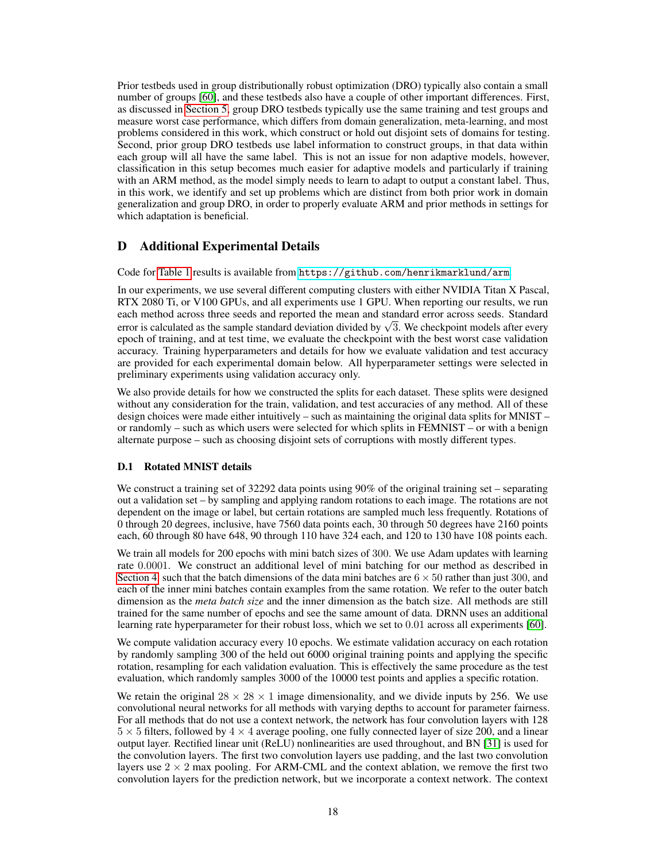Prior testbeds used in group distributionally robust optimization (DRO) typically also contain a small number of groups [\[60\]](#page-13-0), and these testbeds also have a couple of other important differences. First, as discussed in [Section 5,](#page-6-0) group DRO testbeds typically use the same training and test groups and measure worst case performance, which differs from domain generalization, meta-learning, and most problems considered in this work, which construct or hold out disjoint sets of domains for testing. Second, prior group DRO testbeds use label information to construct groups, in that data within each group will all have the same label. This is not an issue for non adaptive models, however, classification in this setup becomes much easier for adaptive models and particularly if training with an ARM method, as the model simply needs to learn to adapt to output a constant label. Thus, in this work, we identify and set up problems which are distinct from both prior work in domain generalization and group DRO, in order to properly evaluate ARM and prior methods in settings for which adaptation is beneficial.

# <span id="page-17-0"></span>D Additional Experimental Details

Code for [Table 1](#page-8-0) results is available from <https://github.com/henrikmarklund/arm>.

In our experiments, we use several different computing clusters with either NVIDIA Titan X Pascal, RTX 2080 Ti, or V100 GPUs, and all experiments use 1 GPU. When reporting our results, we run each method across three seeds and reported the mean and standard error across seeds. Standard each method across three seeds and reported the mean and standard error across seeds. Standard deviation divided by  $\sqrt{3}$ . We checkpoint models after every epoch of training, and at test time, we evaluate the checkpoint with the best worst case validation accuracy. Training hyperparameters and details for how we evaluate validation and test accuracy are provided for each experimental domain below. All hyperparameter settings were selected in preliminary experiments using validation accuracy only.

We also provide details for how we constructed the splits for each dataset. These splits were designed without any consideration for the train, validation, and test accuracies of any method. All of these design choices were made either intuitively – such as maintaining the original data splits for MNIST – or randomly – such as which users were selected for which splits in FEMNIST – or with a benign alternate purpose – such as choosing disjoint sets of corruptions with mostly different types.

### D.1 Rotated MNIST details

We construct a training set of 32292 data points using 90% of the original training set – separating out a validation set – by sampling and applying random rotations to each image. The rotations are not dependent on the image or label, but certain rotations are sampled much less frequently. Rotations of 0 through 20 degrees, inclusive, have 7560 data points each, 30 through 50 degrees have 2160 points each, 60 through 80 have 648, 90 through 110 have 324 each, and 120 to 130 have 108 points each.

We train all models for 200 epochs with mini batch sizes of 300. We use Adam updates with learning rate 0.0001. We construct an additional level of mini batching for our method as described in [Section 4,](#page-4-0) such that the batch dimensions of the data mini batches are  $6 \times 50$  rather than just 300, and each of the inner mini batches contain examples from the same rotation. We refer to the outer batch dimension as the *meta batch size* and the inner dimension as the batch size. All methods are still trained for the same number of epochs and see the same amount of data. DRNN uses an additional learning rate hyperparameter for their robust loss, which we set to 0.01 across all experiments [\[60\]](#page-13-0).

We compute validation accuracy every 10 epochs. We estimate validation accuracy on each rotation by randomly sampling 300 of the held out 6000 original training points and applying the specific rotation, resampling for each validation evaluation. This is effectively the same procedure as the test evaluation, which randomly samples 3000 of the 10000 test points and applies a specific rotation.

We retain the original  $28 \times 28 \times 1$  image dimensionality, and we divide inputs by 256. We use convolutional neural networks for all methods with varying depths to account for parameter fairness. For all methods that do not use a context network, the network has four convolution layers with 128  $5 \times 5$  filters, followed by  $4 \times 4$  average pooling, one fully connected layer of size 200, and a linear output layer. Rectified linear unit (ReLU) nonlinearities are used throughout, and BN [\[31\]](#page-11-12) is used for the convolution layers. The first two convolution layers use padding, and the last two convolution layers use  $2 \times 2$  max pooling. For ARM-CML and the context ablation, we remove the first two convolution layers for the prediction network, but we incorporate a context network. The context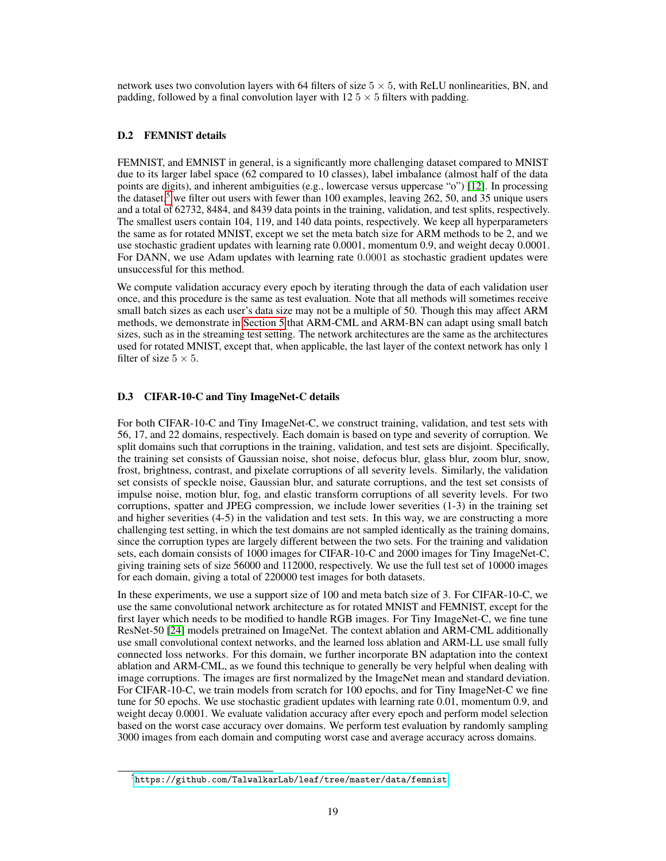network uses two convolution layers with 64 filters of size  $5 \times 5$ , with ReLU nonlinearities, BN, and padding, followed by a final convolution layer with  $12.5 \times 5$  filters with padding.

### D.2 FEMNIST details

FEMNIST, and EMNIST in general, is a significantly more challenging dataset compared to MNIST due to its larger label space (62 compared to 10 classes), label imbalance (almost half of the data points are digits), and inherent ambiguities (e.g., lowercase versus uppercase "o") [\[12\]](#page-10-11). In processing the dataset,<sup>[5](#page-18-0)</sup> we filter out users with fewer than 100 examples, leaving 262, 50, and 35 unique users and a total of 62732, 8484, and 8439 data points in the training, validation, and test splits, respectively. The smallest users contain 104, 119, and 140 data points, respectively. We keep all hyperparameters the same as for rotated MNIST, except we set the meta batch size for ARM methods to be 2, and we use stochastic gradient updates with learning rate 0.0001, momentum 0.9, and weight decay 0.0001. For DANN, we use Adam updates with learning rate 0.0001 as stochastic gradient updates were unsuccessful for this method.

We compute validation accuracy every epoch by iterating through the data of each validation user once, and this procedure is the same as test evaluation. Note that all methods will sometimes receive small batch sizes as each user's data size may not be a multiple of 50. Though this may affect ARM methods, we demonstrate in [Section 5](#page-6-0) that ARM-CML and ARM-BN can adapt using small batch sizes, such as in the streaming test setting. The network architectures are the same as the architectures used for rotated MNIST, except that, when applicable, the last layer of the context network has only 1 filter of size  $5 \times 5$ .

#### D.3 CIFAR-10-C and Tiny ImageNet-C details

For both CIFAR-10-C and Tiny ImageNet-C, we construct training, validation, and test sets with 56, 17, and 22 domains, respectively. Each domain is based on type and severity of corruption. We split domains such that corruptions in the training, validation, and test sets are disjoint. Specifically, the training set consists of Gaussian noise, shot noise, defocus blur, glass blur, zoom blur, snow, frost, brightness, contrast, and pixelate corruptions of all severity levels. Similarly, the validation set consists of speckle noise, Gaussian blur, and saturate corruptions, and the test set consists of impulse noise, motion blur, fog, and elastic transform corruptions of all severity levels. For two corruptions, spatter and JPEG compression, we include lower severities (1-3) in the training set and higher severities (4-5) in the validation and test sets. In this way, we are constructing a more challenging test setting, in which the test domains are not sampled identically as the training domains, since the corruption types are largely different between the two sets. For the training and validation sets, each domain consists of 1000 images for CIFAR-10-C and 2000 images for Tiny ImageNet-C, giving training sets of size 56000 and 112000, respectively. We use the full test set of 10000 images for each domain, giving a total of 220000 test images for both datasets.

In these experiments, we use a support size of 100 and meta batch size of 3. For CIFAR-10-C, we use the same convolutional network architecture as for rotated MNIST and FEMNIST, except for the first layer which needs to be modified to handle RGB images. For Tiny ImageNet-C, we fine tune ResNet-50 [\[24\]](#page-11-16) models pretrained on ImageNet. The context ablation and ARM-CML additionally use small convolutional context networks, and the learned loss ablation and ARM-LL use small fully connected loss networks. For this domain, we further incorporate BN adaptation into the context ablation and ARM-CML, as we found this technique to generally be very helpful when dealing with image corruptions. The images are first normalized by the ImageNet mean and standard deviation. For CIFAR-10-C, we train models from scratch for 100 epochs, and for Tiny ImageNet-C we fine tune for 50 epochs. We use stochastic gradient updates with learning rate 0.01, momentum 0.9, and weight decay 0.0001. We evaluate validation accuracy after every epoch and perform model selection based on the worst case accuracy over domains. We perform test evaluation by randomly sampling 3000 images from each domain and computing worst case and average accuracy across domains.

<span id="page-18-0"></span> $^5$ <https://github.com/TalwalkarLab/leaf/tree/master/data/femnist>.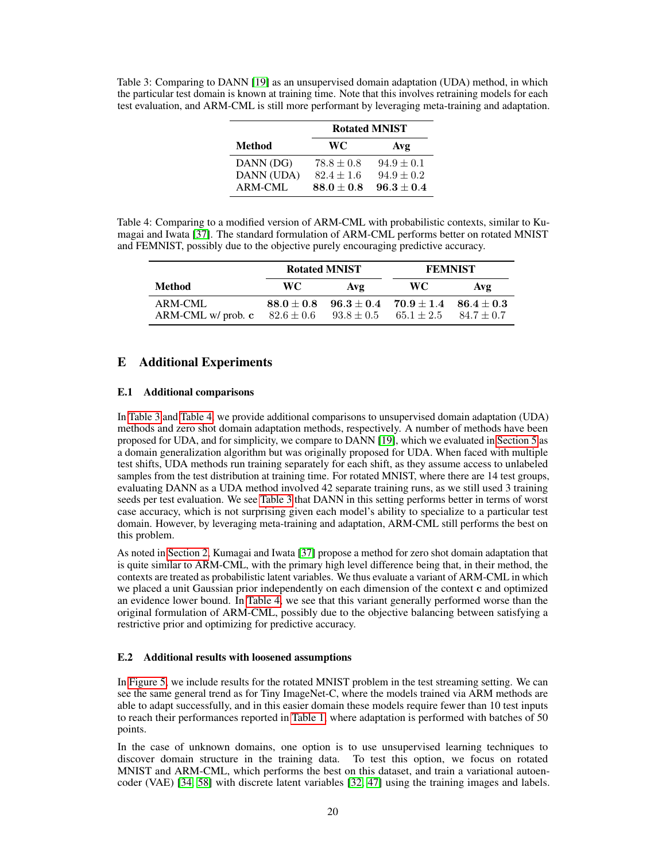<span id="page-19-1"></span>Table 3: Comparing to DANN [\[19\]](#page-11-5) as an unsupervised domain adaptation (UDA) method, in which the particular test domain is known at training time. Note that this involves retraining models for each test evaluation, and ARM-CML is still more performant by leveraging meta-training and adaptation.

|               | <b>Rotated MNIST</b> |                |  |
|---------------|----------------------|----------------|--|
| <b>Method</b> | WC.                  | Avg            |  |
| DANN (DG)     | $78.8 \pm 0.8$       | $94.9 \pm 0.1$ |  |
| DANN (UDA)    | $82.4 \pm 1.6$       | $94.9 \pm 0.2$ |  |
| ARM-CML       | $88.0 \pm 0.8$       | $96.3 \pm 0.4$ |  |

<span id="page-19-2"></span>Table 4: Comparing to a modified version of ARM-CML with probabilistic contexts, similar to Kumagai and Iwata [\[37\]](#page-12-13). The standard formulation of ARM-CML performs better on rotated MNIST and FEMNIST, possibly due to the objective purely encouraging predictive accuracy.

|                                 | <b>Rotated MNIST</b>           |                               | <b>FEMNIST</b>                               |                    |  |
|---------------------------------|--------------------------------|-------------------------------|----------------------------------------------|--------------------|--|
| <b>Method</b>                   | WC.                            | Avg                           | WC.                                          | $A$ v $\mathbf{v}$ |  |
| ARM-CML<br>$ARM-CML$ w/ prob. c | $88.0 \pm 0.8$<br>$82.6\pm0.6$ | $93.8 \pm 0.5$ $65.1 \pm 2.5$ | $96.3 \pm 0.4$ $70.9 \pm 1.4$ $86.4 \pm 0.3$ | $84.7 \pm 0.7$     |  |

# <span id="page-19-0"></span>E Additional Experiments

# E.1 Additional comparisons

In [Table 3](#page-19-1) and [Table 4,](#page-19-2) we provide additional comparisons to unsupervised domain adaptation (UDA) methods and zero shot domain adaptation methods, respectively. A number of methods have been proposed for UDA, and for simplicity, we compare to DANN [\[19\]](#page-11-5), which we evaluated in [Section 5](#page-6-0) as a domain generalization algorithm but was originally proposed for UDA. When faced with multiple test shifts, UDA methods run training separately for each shift, as they assume access to unlabeled samples from the test distribution at training time. For rotated MNIST, where there are 14 test groups, evaluating DANN as a UDA method involved 42 separate training runs, as we still used 3 training seeds per test evaluation. We see [Table 3](#page-19-1) that DANN in this setting performs better in terms of worst case accuracy, which is not surprising given each model's ability to specialize to a particular test domain. However, by leveraging meta-training and adaptation, ARM-CML still performs the best on this problem.

As noted in [Section 2,](#page-1-0) Kumagai and Iwata [\[37\]](#page-12-13) propose a method for zero shot domain adaptation that is quite similar to ARM-CML, with the primary high level difference being that, in their method, the contexts are treated as probabilistic latent variables. We thus evaluate a variant of ARM-CML in which we placed a unit Gaussian prior independently on each dimension of the context c and optimized an evidence lower bound. In [Table 4,](#page-19-2) we see that this variant generally performed worse than the original formulation of ARM-CML, possibly due to the objective balancing between satisfying a restrictive prior and optimizing for predictive accuracy.

### E.2 Additional results with loosened assumptions

In [Figure 5,](#page-20-0) we include results for the rotated MNIST problem in the test streaming setting. We can see the same general trend as for Tiny ImageNet-C, where the models trained via ARM methods are able to adapt successfully, and in this easier domain these models require fewer than 10 test inputs to reach their performances reported in [Table 1,](#page-8-0) where adaptation is performed with batches of 50 points.

In the case of unknown domains, one option is to use unsupervised learning techniques to discover domain structure in the training data. To test this option, we focus on rotated MNIST and ARM-CML, which performs the best on this dataset, and train a variational autoencoder (VAE) [\[34,](#page-11-17) [58\]](#page-13-19) with discrete latent variables [\[32,](#page-11-18) [47\]](#page-12-18) using the training images and labels.